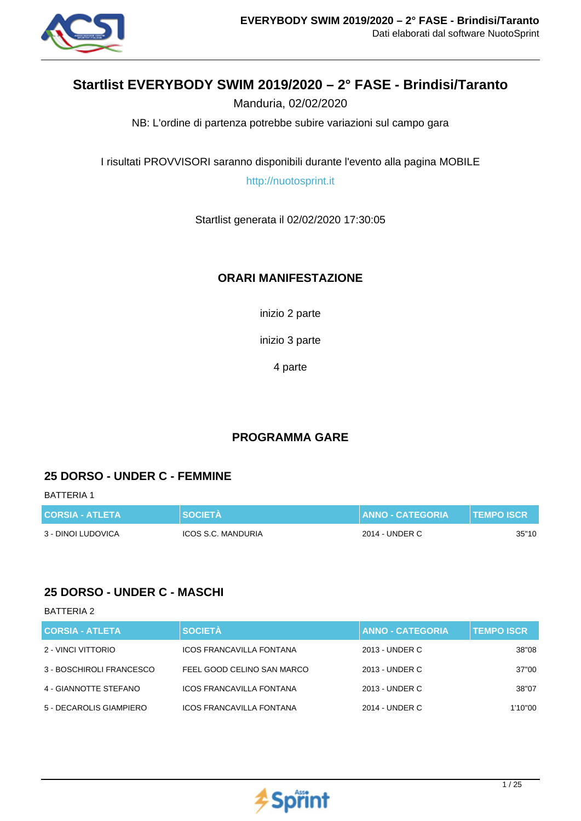

# **Startlist EVERYBODY SWIM 2019/2020 – 2° FASE - Brindisi/Taranto**

Manduria, 02/02/2020

NB: L'ordine di partenza potrebbe subire variazioni sul campo gara

I risultati PROVVISORI saranno disponibili durante l'evento alla pagina MOBILE

http://nuotosprint.it

Startlist generata il 02/02/2020 17:30:05

### **ORARI MANIFESTAZIONE**

inizio 2 parte

inizio 3 parte

4 parte

## **PROGRAMMA GARE**

### **25 DORSO - UNDER C - FEMMINE**

BATTERIA 1

| <b>CORSIA - ATLETA</b> | <b>SOCIETA</b>     | <b>LIANNO - CATEGORIA \</b> | <b>TEMPO ISCR</b> |
|------------------------|--------------------|-----------------------------|-------------------|
| 3 - DINOI LUDOVICA     | ICOS S.C. MANDURIA | 2014 - UNDER C              | 35"10             |

## **25 DORSO - UNDER C - MASCHI**

| <b>CORSIA - ATLETA</b>   | <b>SOCIETÀ</b>                  | <b>ANNO - CATEGORIA</b> | <b>TEMPO ISCR.</b> |
|--------------------------|---------------------------------|-------------------------|--------------------|
| 2 - VINCI VITTORIO       | <b>ICOS FRANCAVILLA FONTANA</b> | 2013 - UNDER C          | 38"08              |
| 3 - BOSCHIROLI FRANCESCO | FEEL GOOD CELINO SAN MARCO      | 2013 - UNDER C          | 37"00              |
| 4 - GIANNOTTE STEFANO    | <b>ICOS FRANCAVILLA FONTANA</b> | 2013 - UNDER C          | 38"07              |
| 5 - DECAROLIS GIAMPIERO  | <b>ICOS FRANCAVILLA FONTANA</b> | 2014 - UNDER C          | 1'10"00            |

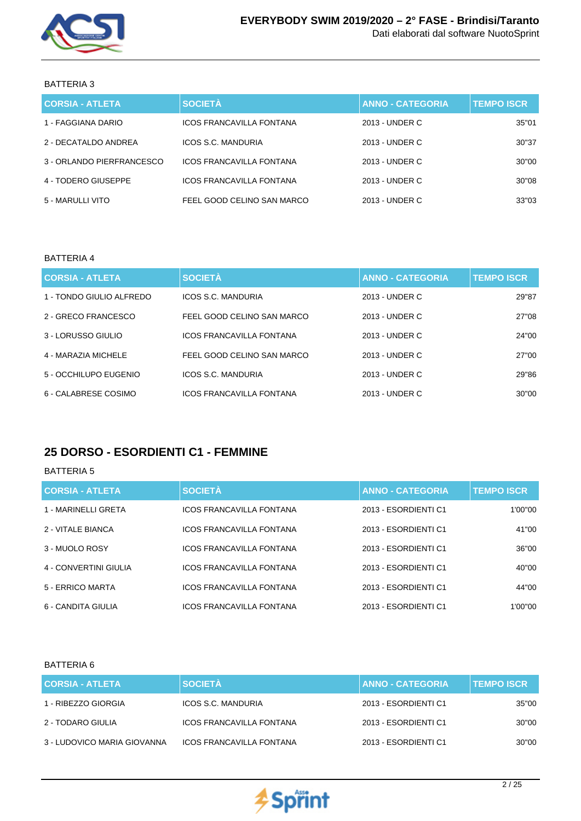

### BATTERIA 3

| <b>CORSIA - ATLETA</b>    | <b>SOCIETÀ</b>                  | <b>ANNO - CATEGORIA</b> | <b>TEMPO ISCR.</b> |
|---------------------------|---------------------------------|-------------------------|--------------------|
| 1 - FAGGIANA DARIO        | ICOS FRANCAVILLA FONTANA        | 2013 - UNDER C          | 35"01              |
| 2 - DECATALDO ANDREA      | ICOS S.C. MANDURIA              | 2013 - UNDER C          | 30"37              |
| 3 - ORLANDO PIERFRANCESCO | ICOS FRANCAVILLA FONTANA        | 2013 - UNDER C          | 30"00              |
| 4 - TODERO GIUSEPPE       | <b>ICOS FRANCAVILLA FONTANA</b> | 2013 - UNDER C          | 30"08              |
| 5 - MARULLI VITO          | FEEL GOOD CELINO SAN MARCO      | 2013 - UNDER C          | 33"03              |

#### BATTERIA 4

| <b>CORSIA - ATLETA</b>   | <b>SOCIETÀ</b>                  | <b>ANNO - CATEGORIA</b> | <b>TEMPO ISCR</b> |
|--------------------------|---------------------------------|-------------------------|-------------------|
| 1 - TONDO GIULIO ALFREDO | ICOS S.C. MANDURIA              | 2013 - UNDER C          | 29"87             |
| 2 - GRECO FRANCESCO      | FEEL GOOD CELINO SAN MARCO      | 2013 - UNDER C          | 27"08             |
| 3 - LORUSSO GIULIO       | ICOS FRANCAVILLA FONTANA        | 2013 - UNDER C          | 24"00             |
| 4 - MARAZIA MICHELE      | FEEL GOOD CELINO SAN MARCO      | 2013 - UNDER C          | 27"00             |
| 5 - OCCHILUPO EUGENIO    | ICOS S.C. MANDURIA              | 2013 - UNDER C          | 29"86             |
| 6 - CALABRESE COSIMO     | <b>ICOS FRANCAVILLA FONTANA</b> | 2013 - UNDER C          | 30"00             |

# **25 DORSO - ESORDIENTI C1 - FEMMINE**

#### BATTERIA 5

| <b>CORSIA - ATLETA</b> | <b>SOCIETÀ</b>                  | <b>ANNO - CATEGORIA</b> | <b>TEMPO ISCR</b> |
|------------------------|---------------------------------|-------------------------|-------------------|
| 1 - MARINELLI GRETA    | <b>ICOS FRANCAVILLA FONTANA</b> | 2013 - ESORDIENTI C1    | 1'00"00           |
| 2 - VITALE BIANCA      | <b>ICOS FRANCAVILLA FONTANA</b> | 2013 - ESORDIENTI C1    | 41"00             |
| 3 - MUOLO ROSY         | <b>ICOS FRANCAVILLA FONTANA</b> | 2013 - ESORDIENTI C1    | 36"00             |
| 4 - CONVERTINI GIULIA  | <b>ICOS FRANCAVILLA FONTANA</b> | 2013 - ESORDIENTI C1    | 40"00             |
| 5 - ERRICO MARTA       | <b>ICOS FRANCAVILLA FONTANA</b> | 2013 - ESORDIENTI C1    | 44"00             |
| 6 - CANDITA GIULIA     | <b>ICOS FRANCAVILLA FONTANA</b> | 2013 - ESORDIENTI C1    | 1'00"00           |

| <b>CORSIA - ATLETA</b>      | <b>SOCIETÀ</b>                  | <b>ANNO - CATEGORIA</b> | <b>TEMPO ISCR</b> |
|-----------------------------|---------------------------------|-------------------------|-------------------|
| 1 - RIBEZZO GIORGIA         | ICOS S.C. MANDURIA              | 2013 - ESORDIENTI C1    | 35"00             |
| 2 - TODARO GIULIA           | <b>ICOS FRANCAVILLA FONTANA</b> | 2013 - ESORDIENTI C1    | 30"00             |
| 3 - LUDOVICO MARIA GIOVANNA | <b>ICOS FRANCAVILLA FONTANA</b> | 2013 - ESORDIENTI C1    | 30"00             |

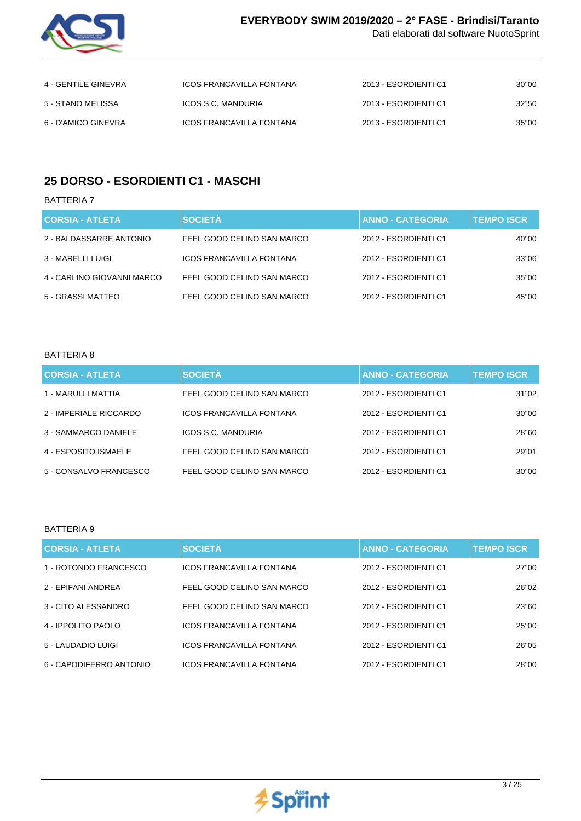

| 4 - GENTILE GINEVRA | ICOS FRANCAVILLA FONTANA | 2013 - ESORDIENTI C1 | 30"00 |
|---------------------|--------------------------|----------------------|-------|
| 5 - STANO MELISSA   | ICOS S.C. MANDURIA       | 2013 - ESORDIENTI C1 | 32"50 |
| 6 - D'AMICO GINEVRA | ICOS FRANCAVILLA FONTANA | 2013 - ESORDIENTI C1 | 35"00 |

# **25 DORSO - ESORDIENTI C1 - MASCHI**

BATTERIA 7

| <b>CORSIA - ATLETA</b>     | <b>SOCIETÀ</b>                  | <b>ANNO - CATEGORIA</b> | <b>TEMPO ISCR.</b> |
|----------------------------|---------------------------------|-------------------------|--------------------|
| 2 - BALDASSARRE ANTONIO    | FEEL GOOD CELINO SAN MARCO      | 2012 - ESORDIENTI C1    | 40"00              |
| 3 - MARELLI LUIGI          | <b>ICOS FRANCAVILLA FONTANA</b> | 2012 - ESORDIENTI C1    | 33"06              |
| 4 - CARLINO GIOVANNI MARCO | FEEL GOOD CELINO SAN MARCO      | 2012 - ESORDIENTI C1    | 35"00              |
| 5 - GRASSI MATTEO          | FEEL GOOD CELINO SAN MARCO      | 2012 - ESORDIENTI C1    | 45"00              |

#### BATTERIA 8

| <b>CORSIA - ATLETA</b> | <b>SOCIETÀ</b>                  | <b>ANNO - CATEGORIA</b> | <b>TEMPO ISCR</b> |
|------------------------|---------------------------------|-------------------------|-------------------|
| 1 - MARULLI MATTIA     | FEEL GOOD CELINO SAN MARCO      | 2012 - ESORDIENTI C1    | 31"02             |
| 2 - IMPERIALE RICCARDO | <b>ICOS FRANCAVILLA FONTANA</b> | 2012 - ESORDIENTI C1    | 30"00             |
| 3 - SAMMARCO DANIELE   | ICOS S.C. MANDURIA              | 2012 - ESORDIENTI C1    | 28"60             |
| 4 - ESPOSITO ISMAELE   | FEEL GOOD CELINO SAN MARCO      | 2012 - ESORDIENTI C1    | 29"01             |
| 5 - CONSALVO FRANCESCO | FEEL GOOD CELINO SAN MARCO      | 2012 - ESORDIENTI C1    | 30"00             |

| <b>CORSIA - ATLETA</b>  | <b>SOCIETÀ</b>                  | <b>ANNO - CATEGORIA</b> | <b>TEMPO ISCR</b> |
|-------------------------|---------------------------------|-------------------------|-------------------|
| 1 - ROTONDO FRANCESCO   | <b>ICOS FRANCAVILLA FONTANA</b> | 2012 - ESORDIENTI C1    | 27"00             |
| 2 - EPIFANI ANDREA      | FEEL GOOD CELINO SAN MARCO      | 2012 - ESORDIENTI C1    | 26"02             |
| 3 - CITO ALESSANDRO     | FEEL GOOD CELINO SAN MARCO      | 2012 - ESORDIENTI C1    | 23"60             |
| 4 - IPPOLITO PAOLO      | <b>ICOS FRANCAVILLA FONTANA</b> | 2012 - ESORDIENTI C1    | 25"00             |
| 5 - LAUDADIO LUIGI      | <b>ICOS FRANCAVILLA FONTANA</b> | 2012 - ESORDIENTI C1    | 26"05             |
| 6 - CAPODIFERRO ANTONIO | <b>ICOS FRANCAVILLA FONTANA</b> | 2012 - ESORDIENTI C1    | 28"00             |

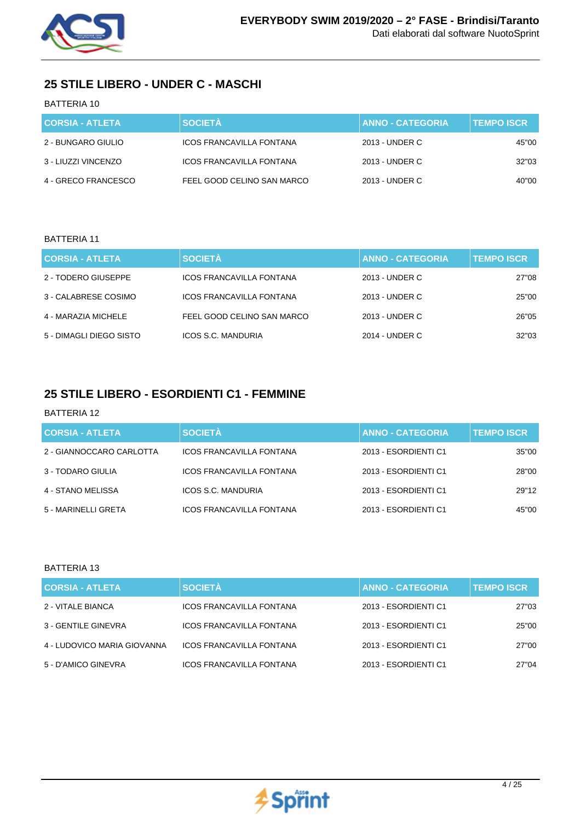

# **25 STILE LIBERO - UNDER C - MASCHI**

### BATTERIA 10

| <b>CORSIA - ATLETA</b> | <b>SOCIETÀ</b>                  | <b>ANNO - CATEGORIA</b> | <b>TEMPO ISCR</b> |
|------------------------|---------------------------------|-------------------------|-------------------|
| 2 - BUNGARO GIULIO     | <b>ICOS FRANCAVILLA FONTANA</b> | 2013 - UNDER C          | 45"00             |
| 3 - LIUZZI VINCENZO    | ICOS FRANCAVILLA FONTANA        | 2013 - UNDER C          | 32"03             |
| 4 - GRECO FRANCESCO    | FEEL GOOD CELINO SAN MARCO      | 2013 - UNDER C          | 40"00             |

#### BATTERIA 11

| <b>CORSIA - ATLETA</b>  | <b>SOCIETÀ</b>                  | <b>ANNO - CATEGORIA</b> | <b>TEMPO ISCR.</b> |
|-------------------------|---------------------------------|-------------------------|--------------------|
| 2 - TODERO GIUSEPPE     | <b>ICOS FRANCAVILLA FONTANA</b> | 2013 - UNDER C          | 27"08              |
| 3 - CALABRESE COSIMO    | <b>ICOS FRANCAVILLA FONTANA</b> | 2013 - UNDER C          | 25"00              |
| 4 - MARAZIA MICHELE     | FEEL GOOD CELINO SAN MARCO      | 2013 - UNDER C          | 26"05              |
| 5 - DIMAGLI DIEGO SISTO | ICOS S.C. MANDURIA              | 2014 - UNDER C          | 32"03              |

# **25 STILE LIBERO - ESORDIENTI C1 - FEMMINE**

#### BATTERIA 12

| <b>CORSIA - ATLETA</b>   | <b>SOCIETÀ</b>                  | <b>ANNO - CATEGORIA</b> | <b>TEMPO ISCR</b> |
|--------------------------|---------------------------------|-------------------------|-------------------|
| 2 - GIANNOCCARO CARLOTTA | <b>ICOS FRANCAVILLA FONTANA</b> | 2013 - ESORDIENTI C1    | 35"00             |
| 3 - TODARO GIULIA        | <b>ICOS FRANCAVILLA FONTANA</b> | 2013 - ESORDIENTI C1    | 28"00             |
| 4 - STANO MELISSA        | ICOS S.C. MANDURIA              | 2013 - ESORDIENTI C1    | 29"12             |
| 5 - MARINELLI GRETA      | ICOS FRANCAVILLA FONTANA        | 2013 - ESORDIENTI C1    | 45"00             |

| <b>CORSIA - ATLETA</b>      | <b>SOCIETÀ</b>                  | <b>ANNO - CATEGORIA</b> | <b>TEMPO ISCR</b> |
|-----------------------------|---------------------------------|-------------------------|-------------------|
| 2 - VITALE BIANCA           | <b>ICOS FRANCAVILLA FONTANA</b> | 2013 - ESORDIENTI C1    | 27"03             |
| 3 - GENTILE GINEVRA         | <b>ICOS FRANCAVILLA FONTANA</b> | 2013 - ESORDIENTI C1    | 25"00             |
| 4 - LUDOVICO MARIA GIOVANNA | <b>ICOS FRANCAVILLA FONTANA</b> | 2013 - ESORDIENTI C1    | 27"00             |
| 5 - D'AMICO GINEVRA         | <b>ICOS FRANCAVILLA FONTANA</b> | 2013 - ESORDIENTI C1    | 27"04             |

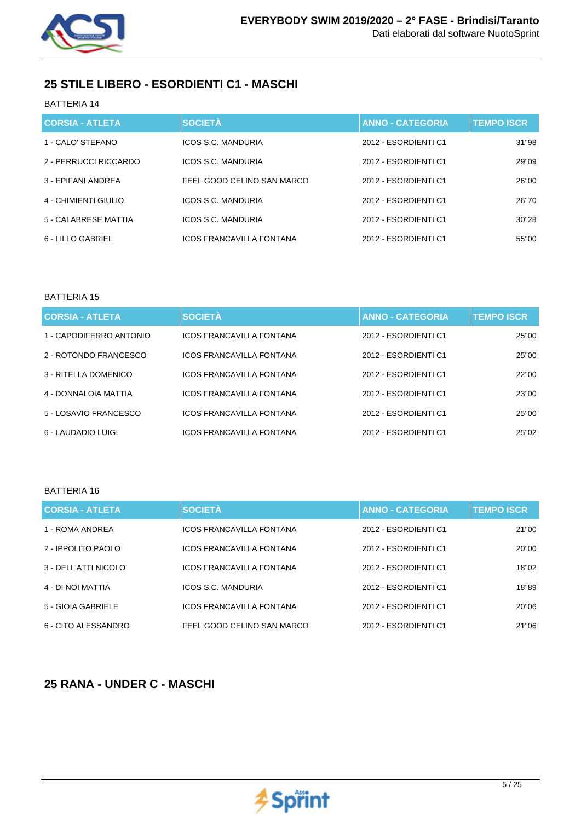

# **25 STILE LIBERO - ESORDIENTI C1 - MASCHI**

BATTERIA 14

| <b>CORSIA - ATLETA</b> | <b>SOCIETÀ</b>                  | <b>ANNO - CATEGORIA</b> | <b>TEMPO ISCR</b> |
|------------------------|---------------------------------|-------------------------|-------------------|
| 1 - CALO' STEFANO      | <b>ICOS S.C. MANDURIA</b>       | 2012 - ESORDIENTI C1    | 31"98             |
| 2 - PERRUCCI RICCARDO  | ICOS S.C. MANDURIA              | 2012 - ESORDIENTI C1    | 29"09             |
| 3 - EPIFANI ANDREA     | FEEL GOOD CELINO SAN MARCO      | 2012 - ESORDIENTI C1    | 26"00             |
| 4 - CHIMIENTI GIULIO   | ICOS S.C. MANDURIA              | 2012 - ESORDIENTI C1    | 26"70             |
| 5 - CALABRESE MATTIA   | ICOS S.C. MANDURIA              | 2012 - ESORDIENTI C1    | 30"28             |
| 6 - LILLO GABRIEL      | <b>ICOS FRANCAVILLA FONTANA</b> | 2012 - ESORDIENTI C1    | 55"00             |

### BATTERIA 15

| <b>CORSIA - ATLETA</b>  | <b>SOCIETÀ</b>                  | <b>ANNO - CATEGORIA</b> | <b>TEMPO ISCR.</b> |
|-------------------------|---------------------------------|-------------------------|--------------------|
| 1 - CAPODIFERRO ANTONIO | ICOS FRANCAVILLA FONTANA        | 2012 - ESORDIENTI C1    | 25"00              |
| 2 - ROTONDO FRANCESCO   | <b>ICOS FRANCAVILLA FONTANA</b> | 2012 - ESORDIENTI C1    | 25"00              |
| 3 - RITELLA DOMENICO    | <b>ICOS FRANCAVILLA FONTANA</b> | 2012 - ESORDIENTI C1    | 22"00              |
| 4 - DONNALOIA MATTIA    | <b>ICOS FRANCAVILLA FONTANA</b> | 2012 - ESORDIENTI C1    | 23"00              |
| 5 - LOSAVIO FRANCESCO   | <b>ICOS FRANCAVILLA FONTANA</b> | 2012 - ESORDIENTI C1    | 25"00              |
| 6 - LAUDADIO LUIGI      | <b>ICOS FRANCAVILLA FONTANA</b> | 2012 - ESORDIENTI C1    | 25"02              |

### BATTERIA 16

| <b>CORSIA - ATLETA</b> | <b>SOCIETÀ</b>                  | <b>ANNO - CATEGORIA</b> | <b>TEMPO ISCR</b> |
|------------------------|---------------------------------|-------------------------|-------------------|
| 1 - ROMA ANDREA        | <b>ICOS FRANCAVILLA FONTANA</b> | 2012 - ESORDIENTI C1    | 21"00             |
| 2 - IPPOLITO PAOLO     | <b>ICOS FRANCAVILLA FONTANA</b> | 2012 - ESORDIENTI C1    | 20"00             |
| 3 - DELL'ATTI NICOLO'  | <b>ICOS FRANCAVILLA FONTANA</b> | 2012 - ESORDIENTI C1    | 18"02             |
| 4 - DI NOI MATTIA      | ICOS S.C. MANDURIA              | 2012 - ESORDIENTI C1    | 18"89             |
| 5 - GIOIA GABRIELE     | <b>ICOS FRANCAVILLA FONTANA</b> | 2012 - ESORDIENTI C1    | 20"06             |
| 6 - CITO ALESSANDRO    | FEEL GOOD CELINO SAN MARCO      | 2012 - ESORDIENTI C1    | 21"06             |

# **25 RANA - UNDER C - MASCHI**

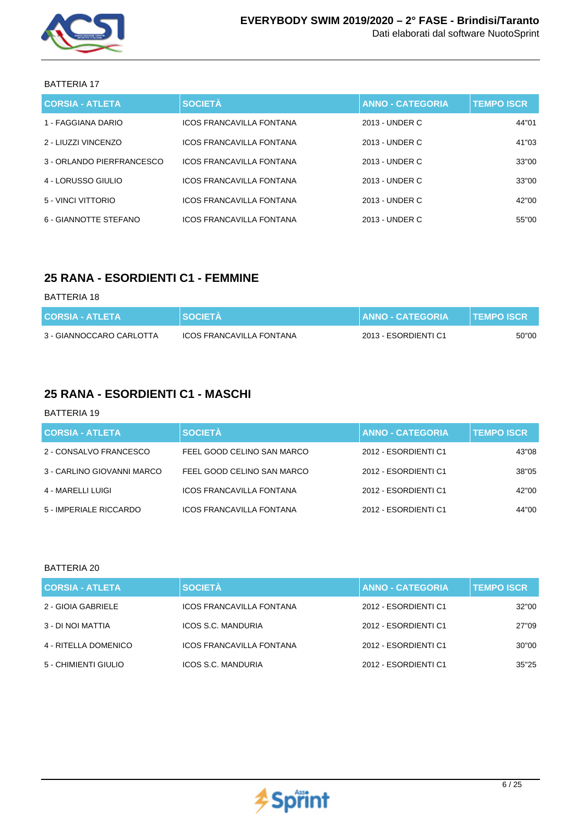

### BATTERIA 17

| <b>CORSIA - ATLETA</b>    | <b>SOCIETÀ</b>                  | <b>ANNO - CATEGORIA</b> | <b>TEMPO ISCR</b> |
|---------------------------|---------------------------------|-------------------------|-------------------|
| 1 - FAGGIANA DARIO        | <b>ICOS FRANCAVILLA FONTANA</b> | 2013 - UNDER C          | 44"01             |
| 2 - LIUZZI VINCENZO       | <b>ICOS FRANCAVILLA FONTANA</b> | 2013 - UNDER C          | 41"03             |
| 3 - ORLANDO PIERFRANCESCO | <b>ICOS FRANCAVILLA FONTANA</b> | 2013 - UNDER C          | 33"00             |
| 4 - LORUSSO GIULIO        | <b>ICOS FRANCAVILLA FONTANA</b> | 2013 - UNDER C          | 33"00             |
| 5 - VINCI VITTORIO        | <b>ICOS FRANCAVILLA FONTANA</b> | 2013 - UNDER C          | 42"00             |
| 6 - GIANNOTTE STEFANO     | ICOS FRANCAVILLA FONTANA        | 2013 - UNDER C          | 55"00             |

## **25 RANA - ESORDIENTI C1 - FEMMINE**

### BATTERIA 18

| <b>CORSIA - ATLETA</b>   | <b>SOCIETA</b>           | <b>ANNO - CATEGORIA</b> | <b>TEMPO ISCR</b> |
|--------------------------|--------------------------|-------------------------|-------------------|
| 3 - GIANNOCCARO CARLOTTA | ICOS FRANCAVILLA FONTANA | 2013 - ESORDIENTI C1    | 50"00             |

## **25 RANA - ESORDIENTI C1 - MASCHI**

#### BATTERIA 19

| <b>CORSIA - ATLETA</b>     | <b>SOCIETÀ</b>                  | <b>ANNO - CATEGORIA</b> | <b>TEMPO ISCR</b> |
|----------------------------|---------------------------------|-------------------------|-------------------|
| 2 - CONSALVO FRANCESCO     | FEEL GOOD CELINO SAN MARCO      | 2012 - ESORDIENTI C1    | 43"08             |
| 3 - CARLINO GIOVANNI MARCO | FEEL GOOD CELINO SAN MARCO      | 2012 - ESORDIENTI C1    | 38"05             |
| 4 - MARELLI LUIGI          | <b>ICOS FRANCAVILLA FONTANA</b> | 2012 - ESORDIENTI C1    | 42"00             |
| 5 - IMPERIALE RICCARDO     | ICOS FRANCAVILLA FONTANA        | 2012 - ESORDIENTI C1    | 44"00             |

| CORSIA - ATLETA      | <b>SOCIETÀ</b>                  | <b>ANNO - CATEGORIA</b> | <b>TEMPO ISCR</b> |
|----------------------|---------------------------------|-------------------------|-------------------|
| 2 - GIOIA GABRIELE   | <b>ICOS FRANCAVILLA FONTANA</b> | 2012 - ESORDIENTI C1    | 32"00             |
| 3 - DI NOI MATTIA    | ICOS S.C. MANDURIA              | 2012 - ESORDIENTI C1    | 27"09             |
| 4 - RITELLA DOMENICO | <b>ICOS FRANCAVILLA FONTANA</b> | 2012 - ESORDIENTI C1    | 30"00             |
| 5 - CHIMIENTI GIULIO | ICOS S.C. MANDURIA              | 2012 - ESORDIENTI C1    | 35"25             |

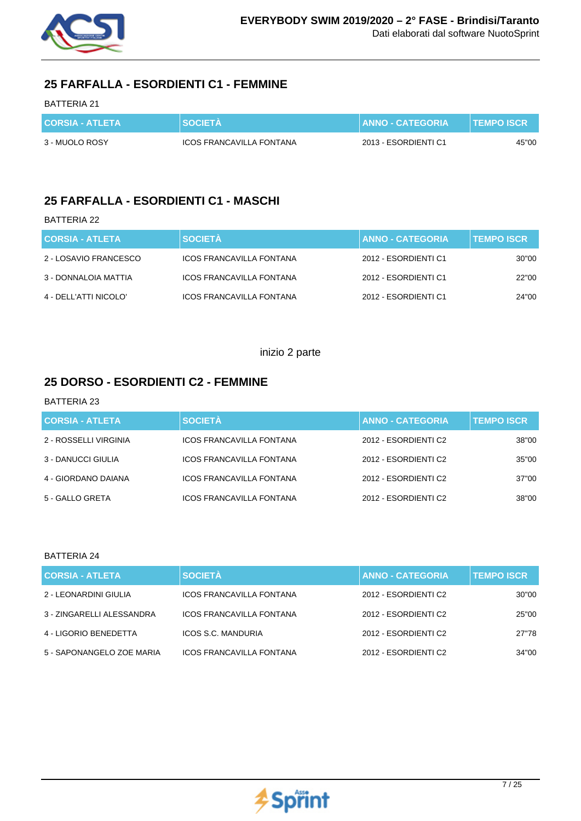

# **25 FARFALLA - ESORDIENTI C1 - FEMMINE**

### BATTERIA 21

| <b>CORSIA - ATLETA</b> | <b>SOCIETA</b>           | <b>I ANNO - CATEGORIA '</b> | <b>TEMPO ISCR</b> |
|------------------------|--------------------------|-----------------------------|-------------------|
| 3 - MUOLO ROSY         | ICOS FRANCAVILLA FONTANA | 2013 - ESORDIENTI C1        | 45"00             |

## **25 FARFALLA - ESORDIENTI C1 - MASCHI**

### BATTERIA 22

| <b>CORSIA - ATLETA</b> | <b>SOCIETÀ</b>                  | <b>ANNO - CATEGORIA</b> | <b>TEMPO ISCR</b> |
|------------------------|---------------------------------|-------------------------|-------------------|
| 2 - LOSAVIO FRANCESCO  | <b>ICOS FRANCAVILLA FONTANA</b> | 2012 - ESORDIENTI C1    | 30"00             |
| 3 - DONNALOIA MATTIA   | ICOS FRANCAVILLA FONTANA        | 2012 - ESORDIENTI C1    | 22"00             |
| 4 - DELL'ATTI NICOLO'  | <b>ICOS FRANCAVILLA FONTANA</b> | 2012 - ESORDIENTI C1    | 24"00             |

### inizio 2 parte

### **25 DORSO - ESORDIENTI C2 - FEMMINE**

### BATTERIA 23

| <b>CORSIA - ATLETA</b> | <b>SOCIETÀ</b>                  | <b>ANNO - CATEGORIA</b> | <b>TEMPO ISCR</b> |
|------------------------|---------------------------------|-------------------------|-------------------|
| 2 - ROSSELLI VIRGINIA  | <b>ICOS FRANCAVILLA FONTANA</b> | 2012 - ESORDIENTI C2    | 38"00             |
| 3 - DANUCCI GIULIA     | ICOS FRANCAVILLA FONTANA        | 2012 - ESORDIENTI C2    | 35"00             |
| 4 - GIORDANO DAIANA    | <b>ICOS FRANCAVILLA FONTANA</b> | 2012 - ESORDIENTI C2    | 37"00             |
| 5 - GALLO GRETA        | <b>ICOS FRANCAVILLA FONTANA</b> | 2012 - ESORDIENTI C2    | 38"00             |

| CORSIA - ATLETA           | <b>SOCIETÀ</b>                  | <b>ANNO - CATEGORIA</b> | <b>TEMPO ISCR</b> |
|---------------------------|---------------------------------|-------------------------|-------------------|
| 2 - LEONARDINI GIULIA     | <b>ICOS FRANCAVILLA FONTANA</b> | 2012 - ESORDIENTI C2    | 30"00             |
| 3 - ZINGARELLI ALESSANDRA | <b>ICOS FRANCAVILLA FONTANA</b> | 2012 - ESORDIENTI C2    | 25"00             |
| 4 - LIGORIO BENEDETTA     | ICOS S.C. MANDURIA              | 2012 - ESORDIENTI C2    | 27"78             |
| 5 - SAPONANGELO ZOE MARIA | <b>ICOS FRANCAVILLA FONTANA</b> | 2012 - ESORDIENTI C2    | 34"00             |

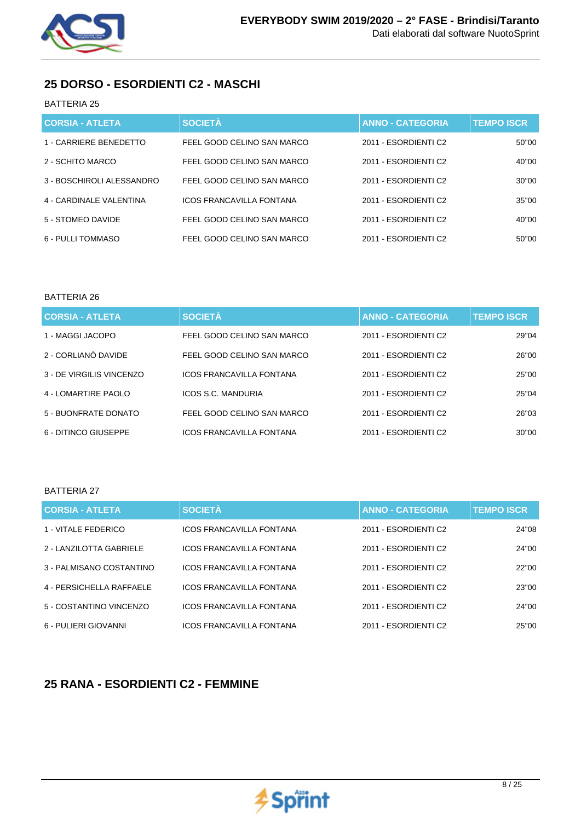

## **25 DORSO - ESORDIENTI C2 - MASCHI**

### BATTERIA 25

| <b>CORSIA - ATLETA</b>    | <b>SOCIETÀ</b>                  | <b>ANNO - CATEGORIA</b> | <b>TEMPO ISCR</b> |
|---------------------------|---------------------------------|-------------------------|-------------------|
| 1 - CARRIERE BENEDETTO    | FEEL GOOD CELINO SAN MARCO      | 2011 - ESORDIENTI C2    | 50"00             |
| 2 - SCHITO MARCO          | FEEL GOOD CELINO SAN MARCO      | 2011 - ESORDIENTI C2    | 40"00             |
| 3 - BOSCHIROLI ALESSANDRO | FEEL GOOD CELINO SAN MARCO      | 2011 - ESORDIENTI C2    | 30"00             |
| 4 - CARDINALE VALENTINA   | <b>ICOS FRANCAVILLA FONTANA</b> | 2011 - ESORDIENTI C2    | 35"00             |
| 5 - STOMEO DAVIDE         | FEEL GOOD CELINO SAN MARCO      | 2011 - ESORDIENTI C2    | 40"00             |
| 6 - PULLI TOMMASO         | FEEL GOOD CELINO SAN MARCO      | 2011 - ESORDIENTI C2    | 50"00             |

### BATTERIA 26

| <b>CORSIA - ATLETA</b>   | <b>SOCIETÀ</b>                  | <b>ANNO - CATEGORIA</b> | <b>TEMPO ISCR</b> |
|--------------------------|---------------------------------|-------------------------|-------------------|
| 1 - MAGGI JACOPO         | FEEL GOOD CELINO SAN MARCO      | 2011 - ESORDIENTI C2    | 29"04             |
| 2 - CORLIANÒ DAVIDE      | FEEL GOOD CELINO SAN MARCO      | 2011 - ESORDIENTI C2    | 26"00             |
| 3 - DE VIRGILIS VINCENZO | <b>ICOS FRANCAVILLA FONTANA</b> | 2011 - ESORDIENTI C2    | 25"00             |
| 4 - LOMARTIRE PAOLO      | ICOS S.C. MANDURIA              | 2011 - ESORDIENTI C2    | 25"04             |
| 5 - BUONFRATE DONATO     | FEEL GOOD CELINO SAN MARCO      | 2011 - ESORDIENTI C2    | 26"03             |
| 6 - DITINCO GIUSEPPE     | <b>ICOS FRANCAVILLA FONTANA</b> | 2011 - ESORDIENTI C2    | 30"00             |

### BATTERIA 27

| <b>CORSIA - ATLETA</b>   | <b>SOCIETÀ</b>                  | <b>ANNO - CATEGORIA</b> | <b>TEMPO ISCR</b> |
|--------------------------|---------------------------------|-------------------------|-------------------|
| 1 - VITALE FEDERICO      | <b>ICOS FRANCAVILLA FONTANA</b> | 2011 - ESORDIENTI C2    | 24"08             |
| 2 - LANZILOTTA GABRIELE  | <b>ICOS FRANCAVILLA FONTANA</b> | 2011 - ESORDIENTI C2    | 24"00             |
| 3 - PALMISANO COSTANTINO | <b>ICOS FRANCAVILLA FONTANA</b> | 2011 - ESORDIENTI C2    | 22"00             |
| 4 - PERSICHELLA RAFFAELE | <b>ICOS FRANCAVILLA FONTANA</b> | 2011 - ESORDIENTI C2    | 23"00             |
| 5 - COSTANTINO VINCENZO  | <b>ICOS FRANCAVILLA FONTANA</b> | 2011 - ESORDIENTI C2    | 24"00             |
| 6 - PULIERI GIOVANNI     | <b>ICOS FRANCAVILLA FONTANA</b> | 2011 - ESORDIENTI C2    | 25"00             |

### **25 RANA - ESORDIENTI C2 - FEMMINE**

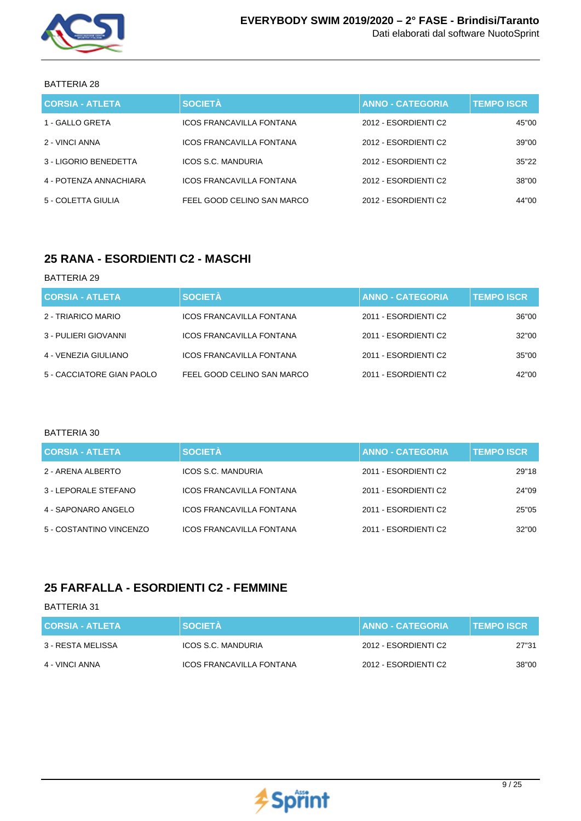

### BATTERIA 28

| <b>CORSIA - ATLETA</b> | <b>SOCIETÀ</b>                  | <b>ANNO - CATEGORIA</b> | <b>TEMPO ISCR.</b> |
|------------------------|---------------------------------|-------------------------|--------------------|
| 1 - GALLO GRETA        | ICOS FRANCAVILLA FONTANA        | 2012 - ESORDIENTI C2    | 45"00              |
| 2 - VINCI ANNA         | ICOS FRANCAVILLA FONTANA        | 2012 - ESORDIENTI C2    | 39"00              |
| 3 - LIGORIO BENEDETTA  | ICOS S.C. MANDURIA              | 2012 - ESORDIENTI C2    | 35"22              |
| 4 - POTENZA ANNACHIARA | <b>ICOS FRANCAVILLA FONTANA</b> | 2012 - ESORDIENTI C2    | 38"00              |
| 5 - COLETTA GIULIA     | FEEL GOOD CELINO SAN MARCO      | 2012 - ESORDIENTI C2    | 44"00              |

## **25 RANA - ESORDIENTI C2 - MASCHI**

#### BATTERIA 29

| <b>CORSIA - ATLETA</b>    | <b>SOCIETÀ</b>                  | <b>ANNO - CATEGORIA</b> | <b>TEMPO ISCR</b> |
|---------------------------|---------------------------------|-------------------------|-------------------|
| 2 - TRIARICO MARIO        | ICOS FRANCAVILLA FONTANA        | 2011 - ESORDIENTI C2    | 36"00             |
| 3 - PULIERI GIOVANNI      | ICOS FRANCAVILLA FONTANA        | 2011 - ESORDIENTI C2    | 32"00             |
| 4 - VENEZIA GIULIANO      | <b>ICOS FRANCAVILLA FONTANA</b> | 2011 - ESORDIENTI C2    | 35"00             |
| 5 - CACCIATORE GIAN PAOLO | FEEL GOOD CELINO SAN MARCO      | 2011 - ESORDIENTI C2    | 42"00             |

#### BATTERIA 30

| <b>CORSIA - ATLETA</b>  | <b>SOCIETÀ</b>                  | <b>ANNO - CATEGORIA</b> | <b>TEMPO ISCR.</b> |
|-------------------------|---------------------------------|-------------------------|--------------------|
| 2 - ARENA ALBERTO       | ICOS S.C. MANDURIA              | 2011 - ESORDIENTI C2    | 29"18              |
| 3 - LEPORALE STEFANO    | ICOS FRANCAVILLA FONTANA        | 2011 - ESORDIENTI C2    | 24"09              |
| 4 - SAPONARO ANGELO     | ICOS FRANCAVILLA FONTANA        | 2011 - ESORDIENTI C2    | 25"05              |
| 5 - COSTANTINO VINCENZO | <b>ICOS FRANCAVILLA FONTANA</b> | 2011 - ESORDIENTI C2    | 32"00              |

## **25 FARFALLA - ESORDIENTI C2 - FEMMINE**

| <b>CORSIA - ATLETA</b> | <b>SOCIETA</b>           | <b>ANNO - CATEGORIA</b> | <b>TEMPO ISCR</b> |
|------------------------|--------------------------|-------------------------|-------------------|
| 3 - RESTA MELISSA      | ICOS S.C. MANDURIA       | 2012 - ESORDIENTI C2    | 27"31             |
| 4 - VINCI ANNA         | ICOS FRANCAVILLA FONTANA | 2012 - ESORDIENTI C2    | 38"00             |

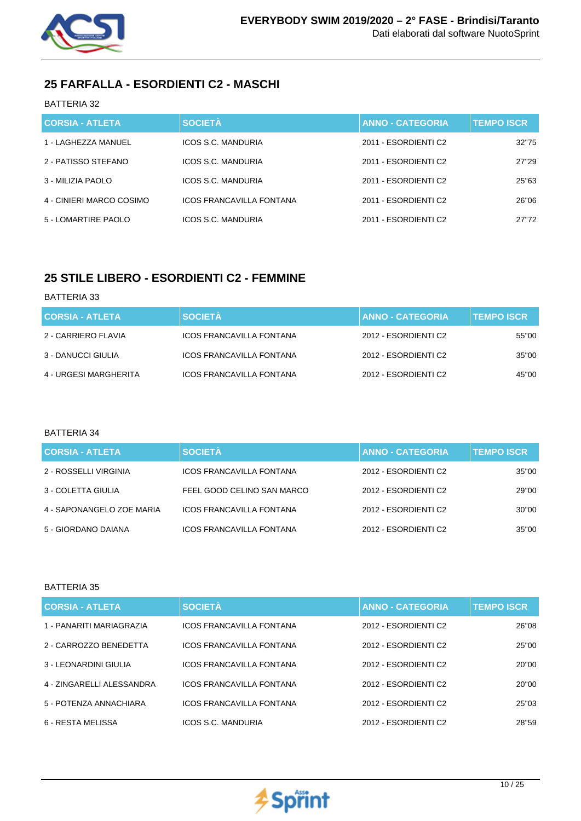

# **25 FARFALLA - ESORDIENTI C2 - MASCHI**

### BATTERIA 32

| <b>CORSIA - ATLETA</b>   | <b>SOCIETÀ</b>                  | <b>ANNO - CATEGORIA</b> | <b>TEMPO ISCR</b> |
|--------------------------|---------------------------------|-------------------------|-------------------|
| 1 - LAGHEZZA MANUEL      | ICOS S.C. MANDURIA              | 2011 - ESORDIENTI C2    | 32"75             |
| 2 - PATISSO STEFANO      | ICOS S.C. MANDURIA              | 2011 - ESORDIENTI C2    | 27"29             |
| 3 - MILIZIA PAOLO        | ICOS S.C. MANDURIA              | 2011 - ESORDIENTI C2    | 25"63             |
| 4 - CINIERI MARCO COSIMO | <b>ICOS FRANCAVILLA FONTANA</b> | 2011 - ESORDIENTI C2    | 26"06             |
| 5 - LOMARTIRE PAOLO      | ICOS S.C. MANDURIA              | 2011 - ESORDIENTI C2    | 27"72             |

# **25 STILE LIBERO - ESORDIENTI C2 - FEMMINE**

#### BATTERIA 33

| <b>CORSIA - ATLETA</b> | <b>SOCIETÀ</b>           | <b>ANNO - CATEGORIA</b> | <b>TEMPO ISCR</b> |
|------------------------|--------------------------|-------------------------|-------------------|
| 2 - CARRIERO FLAVIA    | ICOS FRANCAVILLA FONTANA | 2012 - ESORDIENTI C2    | 55"00             |
| 3 - DANUCCI GIULIA     | ICOS FRANCAVILLA FONTANA | 2012 - ESORDIENTI C2    | 35"00             |
| 4 - URGESI MARGHERITA  | ICOS FRANCAVILLA FONTANA | 2012 - ESORDIENTI C2    | 45"00             |

#### BATTERIA 34

| <b>CORSIA - ATLETA</b>    | <b>SOCIETÀ</b>                  | <b>ANNO - CATEGORIA</b> | <b>TEMPO ISCR</b> |
|---------------------------|---------------------------------|-------------------------|-------------------|
| 2 - ROSSELLI VIRGINIA     | ICOS FRANCAVILLA FONTANA        | 2012 - ESORDIENTI C2    | 35"00             |
| 3 - COLETTA GIULIA        | FEEL GOOD CELINO SAN MARCO      | 2012 - ESORDIENTI C2    | 29"00             |
| 4 - SAPONANGELO ZOE MARIA | <b>ICOS FRANCAVILLA FONTANA</b> | 2012 - ESORDIENTI C2    | 30"00             |
| 5 - GIORDANO DAIANA       | ICOS FRANCAVILLA FONTANA        | 2012 - ESORDIENTI C2    | 35"00             |

| <b>CORSIA - ATLETA</b>    | <b>SOCIETÀ</b>                  | <b>ANNO - CATEGORIA</b> | <b>TEMPO ISCR</b> |
|---------------------------|---------------------------------|-------------------------|-------------------|
| 1 - PANARITI MARIAGRAZIA  | <b>ICOS FRANCAVILLA FONTANA</b> | 2012 - ESORDIENTI C2    | 26"08             |
| 2 - CARROZZO BENEDETTA    | <b>ICOS FRANCAVILLA FONTANA</b> | 2012 - ESORDIENTI C2    | 25"00             |
| 3 - LEONARDINI GIULIA     | <b>ICOS FRANCAVILLA FONTANA</b> | 2012 - ESORDIENTI C2    | 20"00             |
| 4 - ZINGARELLI ALESSANDRA | <b>ICOS FRANCAVILLA FONTANA</b> | 2012 - ESORDIENTI C2    | 20"00             |
| 5 - POTENZA ANNACHIARA    | <b>ICOS FRANCAVILLA FONTANA</b> | 2012 - ESORDIENTI C2    | 25"03             |
| 6 - RESTA MELISSA         | ICOS S.C. MANDURIA              | 2012 - ESORDIENTI C2    | 28"59             |

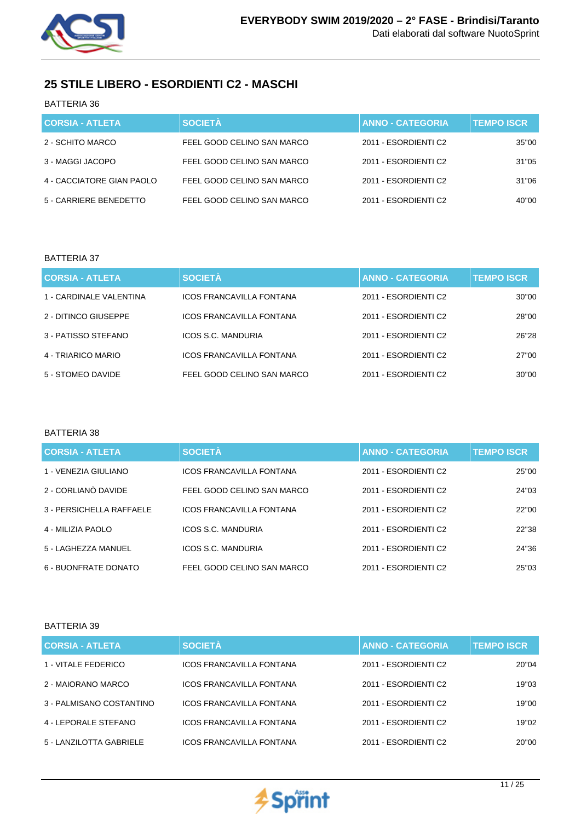

# **25 STILE LIBERO - ESORDIENTI C2 - MASCHI**

BATTERIA 36

| <b>CORSIA - ATLETA</b>    | <b>SOCIETÀ</b>             | <b>ANNO - CATEGORIA</b> | <b>TEMPO ISCR</b> |
|---------------------------|----------------------------|-------------------------|-------------------|
| 2 - SCHITO MARCO          | FEEL GOOD CELINO SAN MARCO | 2011 - ESORDIENTI C2    | 35"00             |
| 3 - MAGGI JACOPO          | FEEL GOOD CELINO SAN MARCO | 2011 - ESORDIENTI C2    | 31"05             |
| 4 - CACCIATORE GIAN PAOLO | FEEL GOOD CELINO SAN MARCO | 2011 - ESORDIENTI C2    | 31"06             |
| 5 - CARRIERE BENEDETTO    | FEEL GOOD CELINO SAN MARCO | 2011 - ESORDIENTI C2    | 40"00             |

#### BATTERIA 37

| <b>CORSIA - ATLETA</b>  | <b>SOCIETÀ</b>                  | <b>ANNO - CATEGORIA</b> | <b>TEMPO ISCR.</b> |
|-------------------------|---------------------------------|-------------------------|--------------------|
| 1 - CARDINALE VALENTINA | ICOS FRANCAVILLA FONTANA        | 2011 - ESORDIENTI C2    | 30"00              |
| 2 - DITINCO GIUSEPPE    | ICOS FRANCAVILLA FONTANA        | 2011 - ESORDIENTI C2    | 28"00              |
| 3 - PATISSO STEFANO     | ICOS S.C. MANDURIA              | 2011 - ESORDIENTI C2    | 26"28              |
| 4 - TRIARICO MARIO      | <b>ICOS FRANCAVILLA FONTANA</b> | 2011 - ESORDIENTI C2    | 27"00              |
| 5 - STOMEO DAVIDE       | FEEL GOOD CELINO SAN MARCO      | 2011 - ESORDIENTI C2    | 30"00              |

#### BATTERIA 38

| <b>CORSIA - ATLETA</b>   | <b>SOCIETÀ</b>                  | <b>ANNO - CATEGORIA</b> | <b>TEMPO ISCR</b> |
|--------------------------|---------------------------------|-------------------------|-------------------|
| 1 - VENEZIA GIULIANO     | <b>ICOS FRANCAVILLA FONTANA</b> | 2011 - ESORDIENTI C2    | 25"00             |
| 2 - CORLIANÒ DAVIDE      | FEEL GOOD CELINO SAN MARCO      | 2011 - ESORDIENTI C2    | 24"03             |
| 3 - PERSICHELLA RAFFAELE | <b>ICOS FRANCAVILLA FONTANA</b> | 2011 - ESORDIENTI C2    | 22"00             |
| 4 - MILIZIA PAOLO        | ICOS S.C. MANDURIA              | 2011 - ESORDIENTI C2    | 22"38             |
| 5 - LAGHEZZA MANUEL      | ICOS S.C. MANDURIA              | 2011 - ESORDIENTI C2    | 24"36             |
| 6 - BUONFRATE DONATO     | FEEL GOOD CELINO SAN MARCO      | 2011 - ESORDIENTI C2    | 25"03             |

| <b>CORSIA - ATLETA</b>   | <b>SOCIETÀ</b>                  | <b>ANNO - CATEGORIA</b> | <b>TEMPO ISCR</b> |
|--------------------------|---------------------------------|-------------------------|-------------------|
| 1 - VITALE FEDERICO      | ICOS FRANCAVILLA FONTANA        | 2011 - ESORDIENTI C2    | 20"04             |
| 2 - MAIORANO MARCO       | ICOS FRANCAVILLA FONTANA        | 2011 - ESORDIENTI C2    | 19"03             |
| 3 - PALMISANO COSTANTINO | <b>ICOS FRANCAVILLA FONTANA</b> | 2011 - ESORDIENTI C2    | 19"00             |
| 4 - LEPORALE STEFANO     | <b>ICOS FRANCAVILLA FONTANA</b> | 2011 - ESORDIENTI C2    | 19"02             |
| 5 - LANZILOTTA GABRIELE  | ICOS FRANCAVILLA FONTANA        | 2011 - ESORDIENTI C2    | 20"00             |

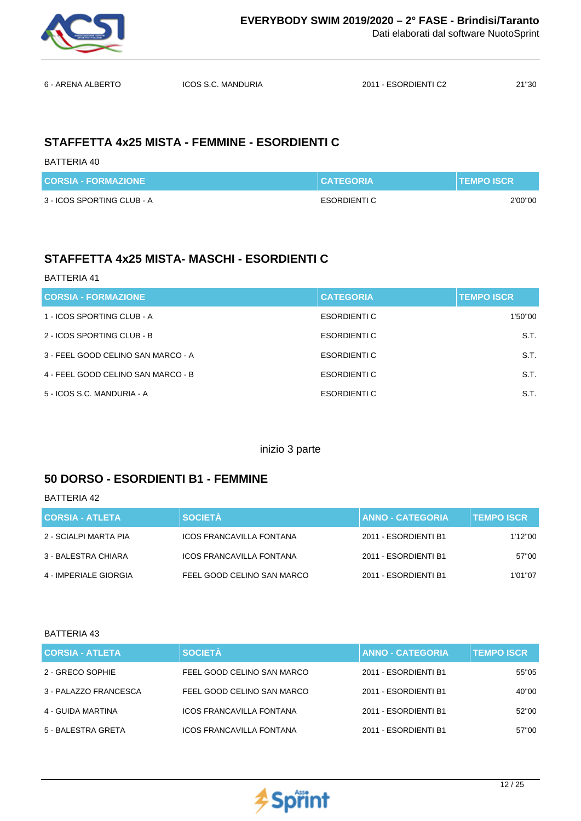

6 - ARENA ALBERTO ICOS S.C. MANDURIA 2011 - ESORDIENTI C2 21''30

## **STAFFETTA 4x25 MISTA - FEMMINE - ESORDIENTI C**

BATTERIA 40

| <b>CORSIA - FORMAZIONE</b> | <b>CATEGORIA</b>    | <b>NTEMPO ISCRN</b> |
|----------------------------|---------------------|---------------------|
| 3 - ICOS SPORTING CLUB - A | <b>ESORDIENTI C</b> | 2'00"00             |

# **STAFFETTA 4x25 MISTA- MASCHI - ESORDIENTI C**

#### BATTERIA 41

| <b>CORSIA - FORMAZIONE</b>         | <b>CATEGORIA</b> | <b>TEMPO ISCR</b> |
|------------------------------------|------------------|-------------------|
| 1 - ICOS SPORTING CLUB - A         | ESORDIENTI C     | 1'50"00           |
| 2 - ICOS SPORTING CLUB - B         | ESORDIENTI C     | S.T.              |
| 3 - FEEL GOOD CELINO SAN MARCO - A | ESORDIENTI C     | S.T.              |
| 4 - FEEL GOOD CELINO SAN MARCO - B | ESORDIENTI C     | S.T.              |
| 5 - ICOS S.C. MANDURIA - A         | ESORDIENTI C     | S.T.              |

inizio 3 parte

## **50 DORSO - ESORDIENTI B1 - FEMMINE**

BATTERIA 42

| CORSIA - ATLETA       | <b>SOCIETÀ</b>                  | <b>ANNO - CATEGORIA</b> | <b>TEMPO ISCR</b> |
|-----------------------|---------------------------------|-------------------------|-------------------|
| 2 - SCIALPI MARTA PIA | <b>ICOS FRANCAVILLA FONTANA</b> | 2011 - ESORDIENTI B1    | 1'12"00           |
| 3 - BALESTRA CHIARA   | <b>ICOS FRANCAVILLA FONTANA</b> | 2011 - ESORDIENTI B1    | 57"00             |
| 4 - IMPERIALE GIORGIA | FEEL GOOD CELINO SAN MARCO      | 2011 - ESORDIENTI B1    | 1'01"07           |

| <b>CORSIA - ATLETA</b> | <b>SOCIETÀ</b>                  | <b>ANNO - CATEGORIA</b> | <b>TEMPO ISCR.</b> |
|------------------------|---------------------------------|-------------------------|--------------------|
| 2 - GRECO SOPHIE       | FEEL GOOD CELINO SAN MARCO      | 2011 - ESORDIENTI B1    | 55"05              |
| 3 - PALAZZO FRANCESCA  | FEEL GOOD CELINO SAN MARCO      | 2011 - ESORDIENTI B1    | 40"00              |
| 4 - GUIDA MARTINA      | <b>ICOS FRANCAVILLA FONTANA</b> | 2011 - ESORDIENTI B1    | 52"00              |
| 5 - BALESTRA GRETA     | <b>ICOS FRANCAVILLA FONTANA</b> | 2011 - ESORDIENTI B1    | 57"00              |

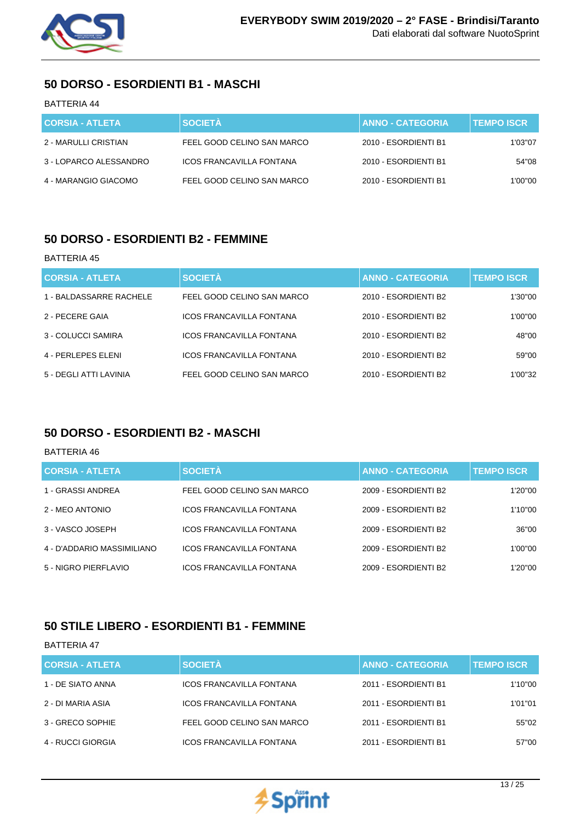

## **50 DORSO - ESORDIENTI B1 - MASCHI**

### BATTERIA 44

| <b>CORSIA - ATLETA</b> | <b>SOCIETA</b>                  | <b>ANNO - CATEGORIA</b> | <b>TEMPO ISCR</b> |
|------------------------|---------------------------------|-------------------------|-------------------|
| 2 - MARULLI CRISTIAN   | FEEL GOOD CELINO SAN MARCO      | 2010 - ESORDIENTI B1    | 1'03"07           |
| 3 - LOPARCO ALESSANDRO | <b>ICOS FRANCAVILLA FONTANA</b> | 2010 - ESORDIENTI B1    | 54"08             |
| 4 - MARANGIO GIACOMO   | FEEL GOOD CELINO SAN MARCO      | 2010 - ESORDIENTI B1    | 1'00"00           |

### **50 DORSO - ESORDIENTI B2 - FEMMINE**

#### BATTERIA 45

| <b>CORSIA - ATLETA</b>  | <b>SOCIETÀ</b>                  | <b>ANNO - CATEGORIA</b> | <b>TEMPO ISCR.</b> |
|-------------------------|---------------------------------|-------------------------|--------------------|
| 1 - BALDASSARRE RACHELE | FEEL GOOD CELINO SAN MARCO      | 2010 - ESORDIENTI B2    | 1'30"00            |
| 2 - PECERE GAIA         | ICOS FRANCAVILLA FONTANA        | 2010 - ESORDIENTI B2    | 1'00"00            |
| 3 - COLUCCI SAMIRA      | ICOS FRANCAVILLA FONTANA        | 2010 - ESORDIENTI B2    | 48"00              |
| 4 - PERLEPES ELENI      | <b>ICOS FRANCAVILLA FONTANA</b> | 2010 - ESORDIENTI B2    | 59"00              |
| 5 - DEGLI ATTI LAVINIA  | FEEL GOOD CELINO SAN MARCO      | 2010 - ESORDIENTI B2    | 1'00"32            |

### **50 DORSO - ESORDIENTI B2 - MASCHI**

#### BATTERIA 46

| <b>CORSIA - ATLETA</b>     | <b>SOCIETÀ</b>                  | <b>ANNO - CATEGORIA</b> | <b>TEMPO ISCR</b> |
|----------------------------|---------------------------------|-------------------------|-------------------|
| 1 - GRASSI ANDREA          | FEEL GOOD CELINO SAN MARCO      | 2009 - ESORDIENTI B2    | 1'20"00           |
| 2 - MEO ANTONIO            | <b>ICOS FRANCAVILLA FONTANA</b> | 2009 - ESORDIENTI B2    | 1'10"00           |
| 3 - VASCO JOSEPH           | ICOS FRANCAVILLA FONTANA        | 2009 - ESORDIENTI B2    | 36"00             |
| 4 - D'ADDARIO MASSIMILIANO | <b>ICOS FRANCAVILLA FONTANA</b> | 2009 - ESORDIENTI B2    | 1'00"00           |
| 5 - NIGRO PIERFLAVIO       | <b>ICOS FRANCAVILLA FONTANA</b> | 2009 - ESORDIENTI B2    | 1'20"00           |

### **50 STILE LIBERO - ESORDIENTI B1 - FEMMINE**

| <b>CORSIA - ATLETA</b> | <b>SOCIETÀ</b>                  | <b>ANNO - CATEGORIA</b> | <b>TEMPO ISCR</b> |
|------------------------|---------------------------------|-------------------------|-------------------|
| 1 - DE SIATO ANNA      | <b>ICOS FRANCAVILLA FONTANA</b> | 2011 - ESORDIENTI B1    | 1'10"00           |
| 2 - DI MARIA ASIA      | <b>ICOS FRANCAVILLA FONTANA</b> | 2011 - ESORDIENTI B1    | 1'01"01           |
| 3 - GRECO SOPHIE       | FEEL GOOD CELINO SAN MARCO      | 2011 - ESORDIENTI B1    | 55"02             |
| 4 - RUCCI GIORGIA      | <b>ICOS FRANCAVILLA FONTANA</b> | 2011 - ESORDIENTI B1    | 57"00             |

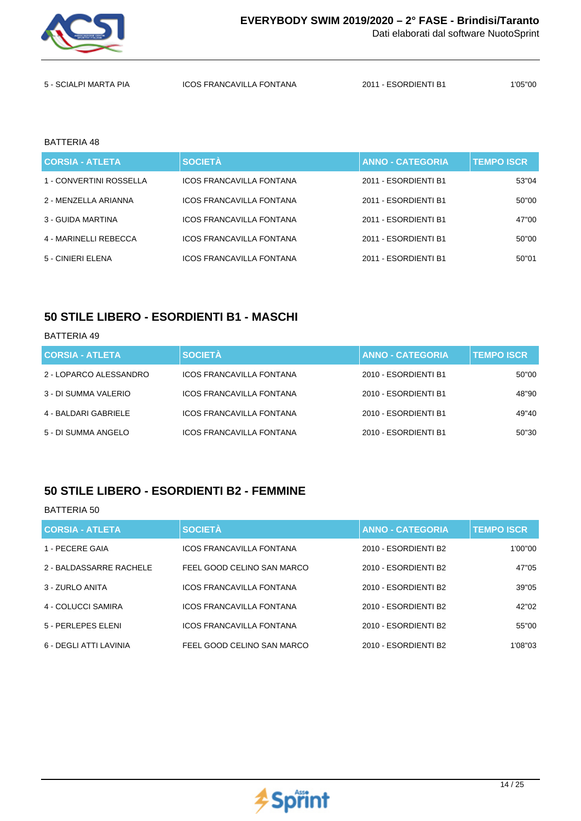

| 5 - SCIALPI MARTA PIA | <b>ICOS FRANCAVILLA FONTANA</b> | 2011 - ESORDIENTI B1 | 1'05''00 |
|-----------------------|---------------------------------|----------------------|----------|

#### BATTERIA 48

| <b>CORSIA - ATLETA</b>  | <b>SOCIETÀ</b>                  | <b>ANNO - CATEGORIA</b> | <b>TEMPO ISCR</b> |
|-------------------------|---------------------------------|-------------------------|-------------------|
| 1 - CONVERTINI ROSSELLA | <b>ICOS FRANCAVILLA FONTANA</b> | 2011 - ESORDIENTI B1    | 53"04             |
| 2 - MENZELLA ARIANNA    | ICOS FRANCAVILLA FONTANA        | 2011 - ESORDIENTI B1    | 50"00             |
| 3 - GUIDA MARTINA       | ICOS FRANCAVILLA FONTANA        | 2011 - ESORDIENTI B1    | 47"00             |
| 4 - MARINELLI REBECCA   | ICOS FRANCAVILLA FONTANA        | 2011 - ESORDIENTI B1    | 50"00             |
| 5 - CINIERI ELENA       | ICOS FRANCAVILLA FONTANA        | 2011 - ESORDIENTI B1    | 50"01             |

### **50 STILE LIBERO - ESORDIENTI B1 - MASCHI**

#### BATTERIA 49

| <b>CORSIA - ATLETA</b> | <b>SOCIETÀ</b>                  | <b>ANNO - CATEGORIA</b> | <b>TEMPO ISCR</b> |
|------------------------|---------------------------------|-------------------------|-------------------|
| 2 - LOPARCO ALESSANDRO | ICOS FRANCAVILLA FONTANA        | 2010 - ESORDIENTI B1    | 50"00             |
| 3 - DI SUMMA VALERIO   | <b>ICOS FRANCAVILLA FONTANA</b> | 2010 - ESORDIENTI B1    | 48"90             |
| 4 - BALDARI GABRIELE   | ICOS FRANCAVILLA FONTANA        | 2010 - ESORDIENTI B1    | 49"40             |
| 5 - DI SUMMA ANGELO    | <b>ICOS FRANCAVILLA FONTANA</b> | 2010 - ESORDIENTI B1    | 50"30             |

### **50 STILE LIBERO - ESORDIENTI B2 - FEMMINE**

| <b>CORSIA - ATLETA</b>  | <b>SOCIETÀ</b>                  | <b>ANNO - CATEGORIA</b> | <b>TEMPO ISCR</b> |
|-------------------------|---------------------------------|-------------------------|-------------------|
| 1 - PECERE GAIA         | <b>ICOS FRANCAVILLA FONTANA</b> | 2010 - ESORDIENTI B2    | 1'00"00           |
| 2 - BALDASSARRE RACHELE | FEEL GOOD CELINO SAN MARCO      | 2010 - ESORDIENTI B2    | 47"05             |
| 3 - ZURLO ANITA         | <b>ICOS FRANCAVILLA FONTANA</b> | 2010 - ESORDIENTI B2    | 39"05             |
| 4 - COLUCCI SAMIRA      | <b>ICOS FRANCAVILLA FONTANA</b> | 2010 - ESORDIENTI B2    | 42"02             |
| 5 - PERLEPES ELENI      | <b>ICOS FRANCAVILLA FONTANA</b> | 2010 - ESORDIENTI B2    | 55"00             |
| 6 - DEGLI ATTI LAVINIA  | FEEL GOOD CELINO SAN MARCO      | 2010 - ESORDIENTI B2    | 1'08"03           |

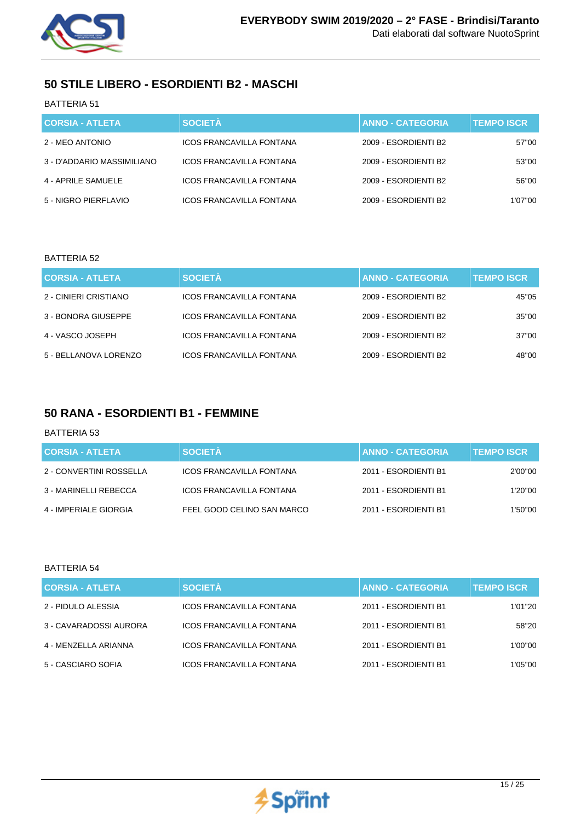

## **50 STILE LIBERO - ESORDIENTI B2 - MASCHI**

### BATTERIA 51

| <b>CORSIA - ATLETA</b>     | <b>SOCIETÀ</b>                  | <b>ANNO - CATEGORIA</b> | <b>TEMPO ISCR</b> |
|----------------------------|---------------------------------|-------------------------|-------------------|
| 2 - MEO ANTONIO            | ICOS FRANCAVILLA FONTANA        | 2009 - ESORDIENTI B2    | 57"00             |
| 3 - D'ADDARIO MASSIMILIANO | <b>ICOS FRANCAVILLA FONTANA</b> | 2009 - ESORDIENTI B2    | 53"00             |
| 4 - APRILE SAMUELE         | ICOS FRANCAVILLA FONTANA        | 2009 - ESORDIENTI B2    | 56"00             |
| 5 - NIGRO PIERFLAVIO       | ICOS FRANCAVILLA FONTANA        | 2009 - ESORDIENTI B2    | 1'07''00          |

#### BATTERIA 52

| <b>CORSIA - ATLETA</b> | <b>SOCIETÀ</b>                  | <b>ANNO - CATEGORIA</b> | <b>TEMPO ISCR</b> |
|------------------------|---------------------------------|-------------------------|-------------------|
| 2 - CINIERI CRISTIANO  | ICOS FRANCAVILLA FONTANA        | 2009 - ESORDIENTI B2    | 45"05             |
| 3 - BONORA GIUSEPPE    | <b>ICOS FRANCAVILLA FONTANA</b> | 2009 - ESORDIENTI B2    | 35"00             |
| 4 - VASCO JOSEPH       | <b>ICOS FRANCAVILLA FONTANA</b> | 2009 - ESORDIENTI B2    | 37"00             |
| 5 - BELLANOVA LORENZO  | <b>ICOS FRANCAVILLA FONTANA</b> | 2009 - ESORDIENTI B2    | 48"00             |

### **50 RANA - ESORDIENTI B1 - FEMMINE**

#### BATTERIA 53

| <b>CORSIA - ATLETA</b>  | <b>SOCIETA</b>                  | <b>ANNO - CATEGORIA</b> | <b>TEMPO ISCR</b> |
|-------------------------|---------------------------------|-------------------------|-------------------|
| 2 - CONVERTINI ROSSELLA | <b>ICOS FRANCAVILLA FONTANA</b> | 2011 - ESORDIENTI B1    | 2'00"00           |
| 3 - MARINELLI REBECCA   | <b>ICOS FRANCAVILLA FONTANA</b> | 2011 - ESORDIENTI B1    | 1'20"00           |
| 4 - IMPERIALE GIORGIA   | FEEL GOOD CELINO SAN MARCO      | 2011 - ESORDIENTI B1    | 1'50"00           |

| <b>CORSIA - ATLETA</b> | <b>SOCIETÀ</b>                  | <b>ANNO - CATEGORIA</b> | <b>TEMPO ISCR</b> |
|------------------------|---------------------------------|-------------------------|-------------------|
| 2 - PIDULO ALESSIA     | <b>ICOS FRANCAVILLA FONTANA</b> | 2011 - ESORDIENTI B1    | 1'01''20          |
| 3 - CAVARADOSSI AURORA | <b>ICOS FRANCAVILLA FONTANA</b> | 2011 - ESORDIENTI B1    | 58"20             |
| 4 - MENZELLA ARIANNA   | <b>ICOS FRANCAVILLA FONTANA</b> | 2011 - ESORDIENTI B1    | 1'00"00           |
| 5 - CASCIARO SOFIA     | <b>ICOS FRANCAVILLA FONTANA</b> | 2011 - ESORDIENTI B1    | 1'05''00          |

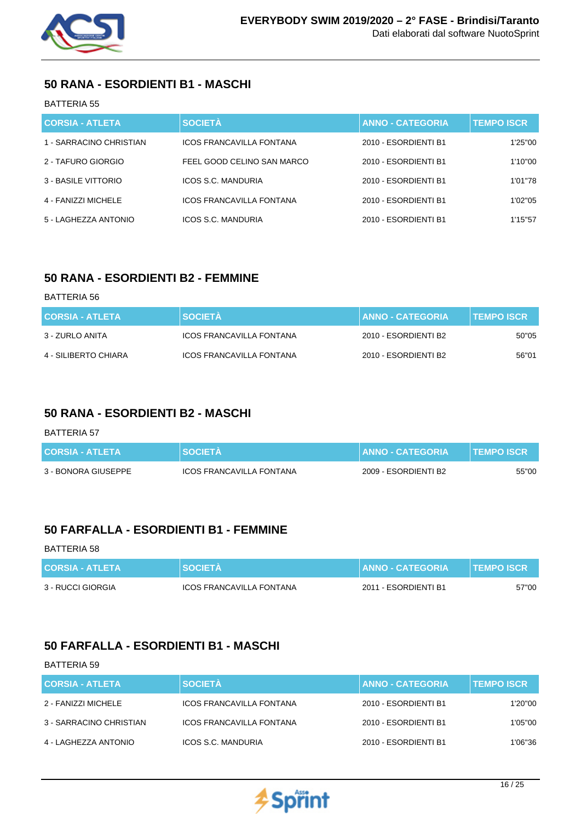

## **50 RANA - ESORDIENTI B1 - MASCHI**

### BATTERIA 55

| <b>CORSIA - ATLETA</b>  | <b>SOCIETÀ</b>                  | <b>ANNO - CATEGORIA</b> | <b>TEMPO ISCR</b> |
|-------------------------|---------------------------------|-------------------------|-------------------|
| 1 - SARRACINO CHRISTIAN | ICOS FRANCAVILLA FONTANA        | 2010 - ESORDIENTI B1    | 1'25"00           |
| 2 - TAFURO GIORGIO      | FEEL GOOD CELINO SAN MARCO      | 2010 - ESORDIENTI B1    | 1'10"00           |
| 3 - BASILE VITTORIO     | ICOS S.C. MANDURIA              | 2010 - ESORDIENTI B1    | 1'01"78           |
| 4 - FANIZZI MICHELE     | <b>ICOS FRANCAVILLA FONTANA</b> | 2010 - ESORDIENTI B1    | 1'02"05           |
| 5 - LAGHEZZA ANTONIO    | ICOS S.C. MANDURIA              | 2010 - ESORDIENTI B1    | 1'15"57           |

## **50 RANA - ESORDIENTI B2 - FEMMINE**

#### BATTERIA 56

| <b>CORSIA - ATLETA</b> | <b>SOCIETA</b>           | <b>I ANNO - CATEGORIA</b> | <b>TEMPO ISCR</b> |
|------------------------|--------------------------|---------------------------|-------------------|
| 3 - ZURLO ANITA        | ICOS FRANCAVILLA FONTANA | 2010 - ESORDIENTI B2      | 50"05             |
| 4 - SILIBERTO CHIARA   | ICOS FRANCAVILLA FONTANA | 2010 - ESORDIENTI B2      | 56"01             |

## **50 RANA - ESORDIENTI B2 - MASCHI**

#### BATTERIA 57

| <b>CORSIA - ATLETA</b> | <b>SOCIETA</b>                  | <b>↓ LANNO - CATEGORIA <sup>\</sup></b> | <b>TEMPO ISCR</b> |
|------------------------|---------------------------------|-----------------------------------------|-------------------|
| 3 - BONORA GIUSEPPE    | <b>ICOS FRANCAVILLA FONTANA</b> | 2009 - ESORDIENTI B2                    | 55"00             |

## **50 FARFALLA - ESORDIENTI B1 - FEMMINE**

#### BATTERIA 58

| <b>CORSIA - ATLETA</b> | <b>SOCIETA</b>                  | <b>ANNO - CATEGORIA</b> | <b>TEMPO ISCR</b> |
|------------------------|---------------------------------|-------------------------|-------------------|
| 3 - RUCCI GIORGIA      | <b>ICOS FRANCAVILLA FONTANA</b> | 2011 - ESORDIENTI B1    | 57"00             |

## **50 FARFALLA - ESORDIENTI B1 - MASCHI**

| <b>CORSIA - ATLETA</b>  | <b>SOCIETÀ</b>                  | <b>ANNO - CATEGORIA</b> | <b>TEMPO ISCR</b> |
|-------------------------|---------------------------------|-------------------------|-------------------|
|                         |                                 |                         |                   |
| 2 - FANIZZI MICHELE     | <b>ICOS FRANCAVILLA FONTANA</b> | 2010 - ESORDIENTI B1    | 1'20"00           |
| 3 - SARRACINO CHRISTIAN | ICOS FRANCAVILLA FONTANA        | 2010 - ESORDIENTI B1    | 1'05"00           |
| 4 - LAGHEZZA ANTONIO    | <b>ICOS S.C. MANDURIA</b>       | 2010 - ESORDIENTI B1    | 1'06''36          |

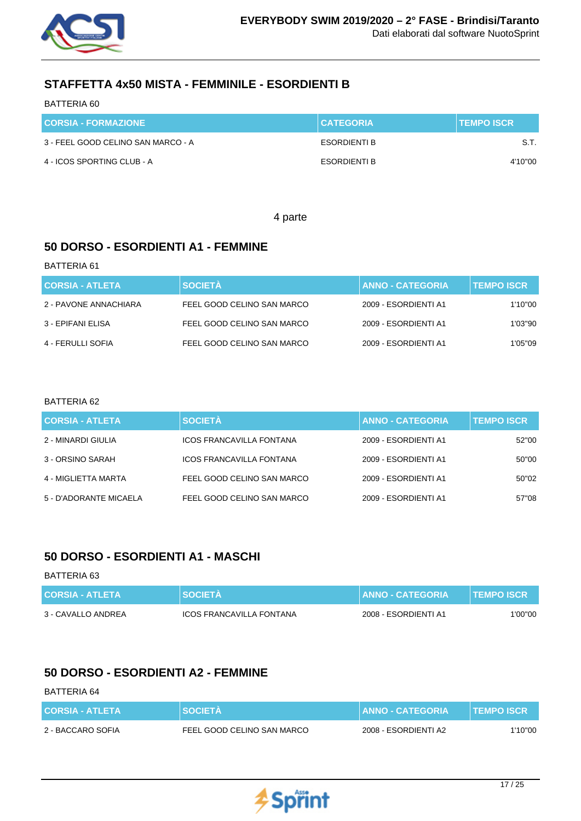

## **STAFFETTA 4x50 MISTA - FEMMINILE - ESORDIENTI B**

#### BATTERIA 60

| <b>CORSIA - FORMAZIONE</b>         | <b>CATEGORIA</b>    | <b>TEMPO ISCR</b> |
|------------------------------------|---------------------|-------------------|
| 3 - FEEL GOOD CELINO SAN MARCO - A | ESORDIENTI B        | -S.T.             |
| 4 - ICOS SPORTING CLUB - A         | <b>ESORDIENTI B</b> | 4'10"00           |

4 parte

## **50 DORSO - ESORDIENTI A1 - FEMMINE**

#### BATTERIA 61

| <b>CORSIA - ATLETA</b> | <b>SOCIETA</b>             | <b>ANNO - CATEGORIA</b> | <b>TEMPO ISCR</b> |
|------------------------|----------------------------|-------------------------|-------------------|
| 2 - PAVONE ANNACHIARA  | FEEL GOOD CELINO SAN MARCO | 2009 - ESORDIENTI A1    | 1'10"00           |
| 3 - EPIFANI ELISA      | FEEL GOOD CELINO SAN MARCO | 2009 - ESORDIENTI A1    | 1'03"90           |
| 4 - FERULLI SOFIA      | FEEL GOOD CELINO SAN MARCO | 2009 - ESORDIENTI A1    | 1'05''09          |

### BATTERIA 62

| <b>CORSIA - ATLETA</b> | <b>SOCIETÀ</b>                  | <b>ANNO - CATEGORIA</b> | <b>TEMPO ISCR</b> |
|------------------------|---------------------------------|-------------------------|-------------------|
| 2 - MINARDI GIULIA     | <b>ICOS FRANCAVILLA FONTANA</b> | 2009 - ESORDIENTI A1    | 52"00             |
| 3 - ORSINO SARAH       | <b>ICOS FRANCAVILLA FONTANA</b> | 2009 - ESORDIENTI A1    | 50"00             |
| 4 - MIGLIETTA MARTA    | FEEL GOOD CELINO SAN MARCO      | 2009 - ESORDIENTI A1    | 50"02             |
| 5 - D'ADORANTE MICAELA | FEEL GOOD CELINO SAN MARCO      | 2009 - ESORDIENTI A1    | 57"08             |

## **50 DORSO - ESORDIENTI A1 - MASCHI**

#### BATTERIA 63

| <b>CORSIA - ATLETA</b> | <b>SOCIETA</b>           | <b>I ANNO - CATEGORIA '</b> | <b>TEMPO ISCR</b> |
|------------------------|--------------------------|-----------------------------|-------------------|
| 3 - CAVALLO ANDREA     | ICOS FRANCAVILLA FONTANA | 2008 - ESORDIENTI A1        | 1'00"00           |

## **50 DORSO - ESORDIENTI A2 - FEMMINE**

| <b>CORSIA - ATLETA</b> | <b>SOCIETA</b>             | <b>ANNO - CATEGORIA</b> | <b>TEMPO ISCR</b> |
|------------------------|----------------------------|-------------------------|-------------------|
| 2 - BACCARO SOFIA      | FEEL GOOD CELINO SAN MARCO | 2008 - ESORDIENTI A2    | 1'10"00           |

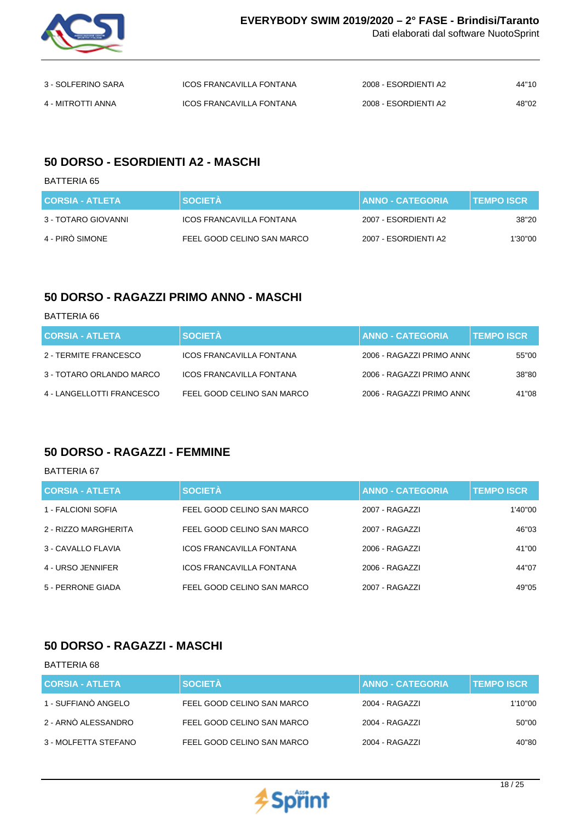

| 3 - SOLFERINO SARA | ICOS FRANCAVILLA FONTANA        | 2008 - ESORDIENTI A2 | 44"10 |
|--------------------|---------------------------------|----------------------|-------|
| 4 - MITROTTI ANNA  | <b>ICOS FRANCAVILLA FONTANA</b> | 2008 - ESORDIENTI A2 | 48"02 |

### **50 DORSO - ESORDIENTI A2 - MASCHI**

BATTERIA 65

| <b>CORSIA - ATLETA</b> | <b>SOCIETA</b>                  | <b>ANNO - CATEGORIA</b> | <b>TEMPO ISCR</b> |
|------------------------|---------------------------------|-------------------------|-------------------|
| 3 - TOTARO GIOVANNI    | <b>ICOS FRANCAVILLA FONTANA</b> | 2007 - ESORDIENTI A2    | 38"20             |
| 4 - PIRO SIMONE        | FEEL GOOD CELINO SAN MARCO      | 2007 - ESORDIENTI A2    | 1'30"00           |

## **50 DORSO - RAGAZZI PRIMO ANNO - MASCHI**

BATTERIA 66

| <b>CORSIA - ATLETA</b>    | <b>SOCIETÀ</b>                  | <b>ANNO - CATEGORIA</b>   | <b>TEMPO ISCR</b> |
|---------------------------|---------------------------------|---------------------------|-------------------|
| 2 - TERMITE FRANCESCO     | <b>ICOS FRANCAVILLA FONTANA</b> | 2006 - RAGAZZI PRIMO ANNO | 55"00             |
| 3 - TOTARO ORLANDO MARCO  | <b>ICOS FRANCAVILLA FONTANA</b> | 2006 - RAGAZZI PRIMO ANNO | 38"80             |
| 4 - LANGELLOTTI FRANCESCO | FEEL GOOD CELINO SAN MARCO      | 2006 - RAGAZZI PRIMO ANNO | 41"08             |

# **50 DORSO - RAGAZZI - FEMMINE**

BATTERIA 67

| <b>CORSIA - ATLETA</b> | <b>SOCIETÀ</b>                  | <b>ANNO - CATEGORIA</b> | <b>TEMPO ISCR</b> |
|------------------------|---------------------------------|-------------------------|-------------------|
| 1 - FALCIONI SOFIA     | FEEL GOOD CELINO SAN MARCO      | 2007 - RAGAZZI          | 1'40"00           |
| 2 - RIZZO MARGHERITA   | FEEL GOOD CELINO SAN MARCO      | 2007 - RAGAZZI          | 46"03             |
| 3 - CAVALLO FLAVIA     | <b>ICOS FRANCAVILLA FONTANA</b> | 2006 - RAGAZZI          | 41"00             |
| 4 - URSO JENNIFER      | <b>ICOS FRANCAVILLA FONTANA</b> | 2006 - RAGAZZI          | 44"07             |
| 5 - PERRONE GIADA      | FEEL GOOD CELINO SAN MARCO      | 2007 - RAGAZZI          | 49"05             |

# **50 DORSO - RAGAZZI - MASCHI**

| <b>BATTERIA 68</b>     |                            |                         |                   |
|------------------------|----------------------------|-------------------------|-------------------|
| <b>CORSIA - ATLETA</b> | <b>SOCIETÀ</b>             | <b>ANNO - CATEGORIA</b> | <b>TEMPO ISCR</b> |
| 1 - SUFFIANÒ ANGELO    | FEEL GOOD CELINO SAN MARCO | 2004 - RAGAZZI          | 1'10"00           |
| 2 - ARNÒ ALESSANDRO    | FEEL GOOD CELINO SAN MARCO | 2004 - RAGAZZI          | 50"00             |
| 3 - MOLFETTA STEFANO   | FEEL GOOD CELINO SAN MARCO | 2004 - RAGAZZI          | 40"80             |
|                        |                            |                         |                   |

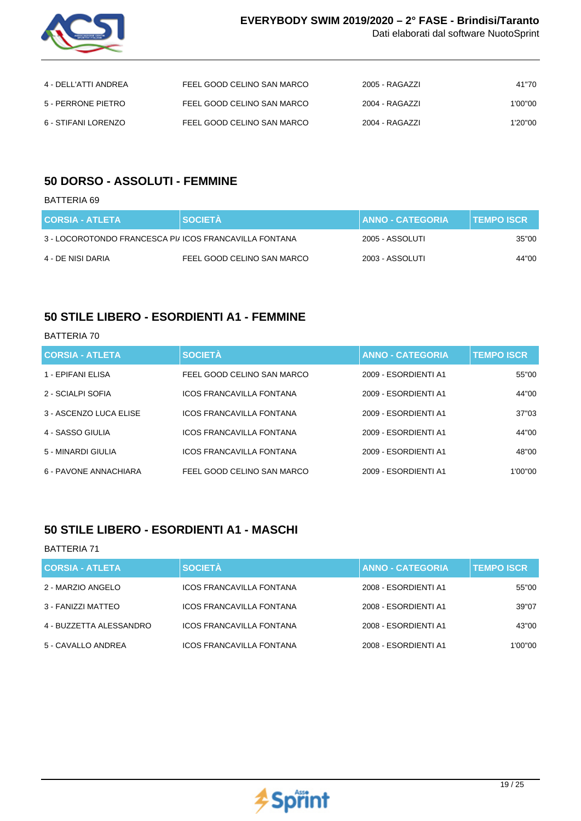

| 4 - DELL'ATTI ANDREA | FEEL GOOD CELINO SAN MARCO | 2005 - RAGAZZI | 41"70   |
|----------------------|----------------------------|----------------|---------|
| 5 - PERRONE PIETRO   | FEEL GOOD CELINO SAN MARCO | 2004 - RAGAZZI | 1'00"00 |
| 6 - STIFANI LORENZO  | FEEL GOOD CELINO SAN MARCO | 2004 - RAGAZZI | 1'20"00 |

### **50 DORSO - ASSOLUTI - FEMMINE**

BATTERIA 69

| <b>CORSIA - ATLETA</b>                                 | <b>SOCIETA</b>             | <b>ANNO - CATEGORIA</b> | <b>TEMPO ISCR</b> |
|--------------------------------------------------------|----------------------------|-------------------------|-------------------|
| 3 - LOCOROTONDO FRANCESCA PI/ ICOS FRANCAVILLA FONTANA |                            | 2005 - ASSOLUTI         | 35"00             |
| 4 - DE NISI DARIA                                      | FEEL GOOD CELINO SAN MARCO | 2003 - ASSOLUTI         | 44"00             |

### **50 STILE LIBERO - ESORDIENTI A1 - FEMMINE**

#### BATTERIA 70

| <b>CORSIA - ATLETA</b> | <b>SOCIETÀ</b>                  | <b>ANNO - CATEGORIA</b> | <b>TEMPO ISCR.</b> |
|------------------------|---------------------------------|-------------------------|--------------------|
| 1 - EPIFANI ELISA      | FEEL GOOD CELINO SAN MARCO      | 2009 - ESORDIENTI A1    | 55"00              |
| 2 - SCIALPI SOFIA      | <b>ICOS FRANCAVILLA FONTANA</b> | 2009 - ESORDIENTI A1    | 44"00              |
| 3 - ASCENZO LUCA ELISE | <b>ICOS FRANCAVILLA FONTANA</b> | 2009 - ESORDIENTI A1    | 37"03              |
| 4 - SASSO GIULIA       | <b>ICOS FRANCAVILLA FONTANA</b> | 2009 - ESORDIENTI A1    | 44"00              |
| 5 - MINARDI GIULIA     | <b>ICOS FRANCAVILLA FONTANA</b> | 2009 - ESORDIENTI A1    | 48"00              |
| 6 - PAVONE ANNACHIARA  | FEEL GOOD CELINO SAN MARCO      | 2009 - ESORDIENTI A1    | 1'00"00            |

## **50 STILE LIBERO - ESORDIENTI A1 - MASCHI**

| <b>CORSIA - ATLETA</b>  | <b>SOCIETÀ</b>                  | <b>ANNO - CATEGORIA</b> | <b>TEMPO ISCR</b> |
|-------------------------|---------------------------------|-------------------------|-------------------|
| 2 - MARZIO ANGELO       | ICOS FRANCAVILLA FONTANA        | 2008 - ESORDIENTI A1    | 55"00             |
| 3 - FANIZZI MATTEO      | ICOS FRANCAVILLA FONTANA        | 2008 - ESORDIENTI A1    | 39"07             |
| 4 - BUZZETTA ALESSANDRO | ICOS FRANCAVILLA FONTANA        | 2008 - ESORDIENTI A1    | 43"00             |
| 5 - CAVALLO ANDREA      | <b>ICOS FRANCAVILLA FONTANA</b> | 2008 - ESORDIENTI A1    | 1'00"00           |

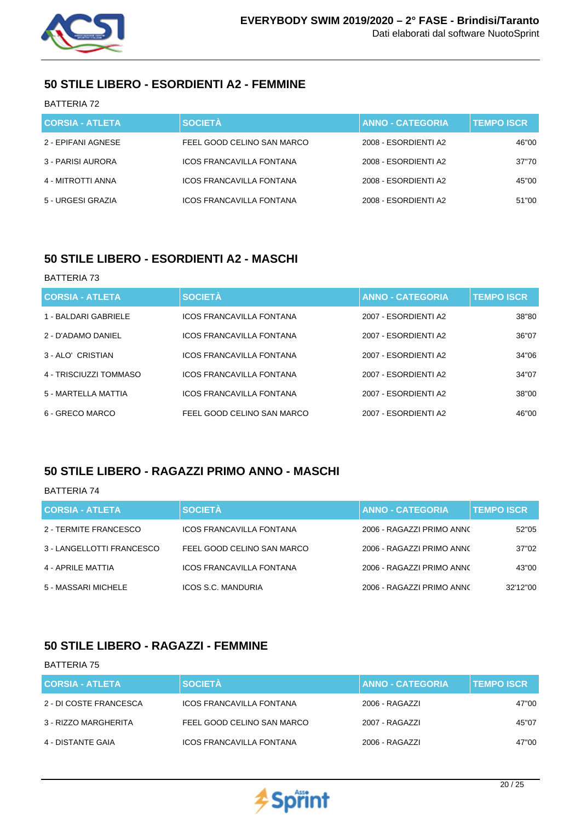

## **50 STILE LIBERO - ESORDIENTI A2 - FEMMINE**

BATTERIA 72

| <b>CORSIA - ATLETA</b> | <b>SOCIETÀ</b>                  | <b>ANNO - CATEGORIA</b> | <b>TEMPO ISCR.</b> |
|------------------------|---------------------------------|-------------------------|--------------------|
| 2 - EPIFANI AGNESE     | FEEL GOOD CELINO SAN MARCO      | 2008 - ESORDIENTI A2    | 46"00              |
| 3 - PARISI AURORA      | <b>ICOS FRANCAVILLA FONTANA</b> | 2008 - ESORDIENTI A2    | 37"70              |
| 4 - MITROTTI ANNA      | <b>ICOS FRANCAVILLA FONTANA</b> | 2008 - ESORDIENTI A2    | 45"00              |
| 5 - URGESI GRAZIA      | ICOS FRANCAVILLA FONTANA        | 2008 - ESORDIENTI A2    | 51"00              |

# **50 STILE LIBERO - ESORDIENTI A2 - MASCHI**

#### BATTERIA 73

| <b>CORSIA - ATLETA</b> | <b>SOCIETÀ</b>                  | <b>ANNO - CATEGORIA</b> | <b>TEMPO ISCR</b> |
|------------------------|---------------------------------|-------------------------|-------------------|
| 1 - BALDARI GABRIELE   | <b>ICOS FRANCAVILLA FONTANA</b> | 2007 - ESORDIENTI A2    | 38"80             |
| 2 - D'ADAMO DANIEL     | ICOS FRANCAVILLA FONTANA        | 2007 - ESORDIENTI A2    | 36"07             |
| 3 - ALO' CRISTIAN      | <b>ICOS FRANCAVILLA FONTANA</b> | 2007 - ESORDIENTI A2    | 34"06             |
| 4 - TRISCIUZZI TOMMASO | <b>ICOS FRANCAVILLA FONTANA</b> | 2007 - ESORDIENTI A2    | 34"07             |
| 5 - MARTELLA MATTIA    | <b>ICOS FRANCAVILLA FONTANA</b> | 2007 - ESORDIENTI A2    | 38"00             |
| 6 - GRECO MARCO        | FEEL GOOD CELINO SAN MARCO      | 2007 - ESORDIENTI A2    | 46"00             |

## **50 STILE LIBERO - RAGAZZI PRIMO ANNO - MASCHI**

### BATTERIA 74

| <b>CORSIA - ATLETA</b>    | <b>SOCIETÀ</b>                  | <b>ANNO - CATEGORIA</b>   | <b>TEMPO ISCR</b> |
|---------------------------|---------------------------------|---------------------------|-------------------|
| 2 - TERMITE FRANCESCO     | <b>ICOS FRANCAVILLA FONTANA</b> | 2006 - RAGAZZI PRIMO ANNO | 52"05             |
| 3 - LANGELLOTTI FRANCESCO | FEEL GOOD CELINO SAN MARCO      | 2006 - RAGAZZI PRIMO ANNO | 37"02             |
| 4 - APRILE MATTIA         | <b>ICOS FRANCAVILLA FONTANA</b> | 2006 - RAGAZZI PRIMO ANNO | 43"00             |
| 5 - MASSARI MICHELE       | <b>ICOS S.C. MANDURIA</b>       | 2006 - RAGAZZI PRIMO ANNO | 32'12"00          |

## **50 STILE LIBERO - RAGAZZI - FEMMINE**

| <b>CORSIA - ATLETA</b> | <b>SOCIETÀ</b>                  | <b>ANNO - CATEGORIA</b> | <b>TEMPO ISCR</b> |
|------------------------|---------------------------------|-------------------------|-------------------|
| 2 - DI COSTE FRANCESCA | ICOS FRANCAVILLA FONTANA        | 2006 - RAGAZZI          | 47"00             |
| 3 - RIZZO MARGHERITA   | FEEL GOOD CELINO SAN MARCO      | 2007 - RAGAZZI          | 45"07             |
| 4 - DISTANTE GAIA      | <b>ICOS FRANCAVILLA FONTANA</b> | 2006 - RAGAZZI          | 47"00             |

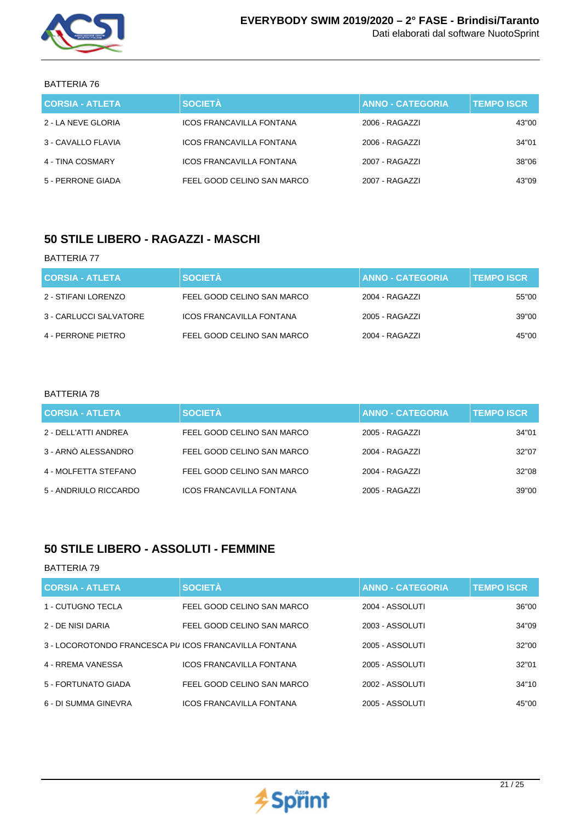

BATTERIA 76

| <b>CORSIA - ATLETA</b> | <b>SOCIETÀ</b>                  | <b>ANNO - CATEGORIA</b> | <b>TEMPO ISCR</b> |
|------------------------|---------------------------------|-------------------------|-------------------|
| 2 - LA NEVE GLORIA     | ICOS FRANCAVILLA FONTANA        | 2006 - RAGAZZI          | 43"00             |
| 3 - CAVALLO FLAVIA     | ICOS FRANCAVILLA FONTANA        | 2006 - RAGAZZI          | 34"01             |
| 4 - TINA COSMARY       | <b>ICOS FRANCAVILLA FONTANA</b> | 2007 - RAGAZZI          | 38"06             |
| 5 - PERRONE GIADA      | FEEL GOOD CELINO SAN MARCO      | 2007 - RAGAZZI          | 43"09             |

## **50 STILE LIBERO - RAGAZZI - MASCHI**

#### BATTERIA 77

| <b>CORSIA - ATLETA</b> | <b>SOCIETÀ</b>                  | ANNO - CATEGORIA | <b>TEMPO ISCR</b> |
|------------------------|---------------------------------|------------------|-------------------|
| 2 - STIFANI LORENZO    | FEEL GOOD CELINO SAN MARCO      | 2004 - RAGAZZI   | 55"00             |
| 3 - CARLUCCI SALVATORE | <b>ICOS FRANCAVILLA FONTANA</b> | 2005 - RAGAZZI   | 39"00             |
| 4 - PERRONE PIETRO     | FEEL GOOD CELINO SAN MARCO      | 2004 - RAGAZZI   | 45"00             |

### BATTERIA 78

| <b>CORSIA - ATLETA</b> | <b>SOCIETÀ</b>                  | <b>ANNO - CATEGORIA</b> | <b>TEMPO ISCR</b> |
|------------------------|---------------------------------|-------------------------|-------------------|
| 2 - DELL'ATTI ANDREA   | FEEL GOOD CELINO SAN MARCO      | 2005 - RAGAZZI          | 34"01             |
| 3 - ARNÒ ALESSANDRO    | FEEL GOOD CELINO SAN MARCO      | 2004 - RAGAZZI          | 32"07             |
| 4 - MOLFETTA STEFANO   | FEEL GOOD CELINO SAN MARCO      | 2004 - RAGAZZI          | 32"08             |
| 5 - ANDRIULO RICCARDO  | <b>ICOS FRANCAVILLA FONTANA</b> | 2005 - RAGAZZI          | 39"00             |

## **50 STILE LIBERO - ASSOLUTI - FEMMINE**

| <b>CORSIA - ATLETA</b>                                 | <b>SOCIETÀ</b>                  | <b>ANNO - CATEGORIA</b> | <b>TEMPO ISCR.</b> |
|--------------------------------------------------------|---------------------------------|-------------------------|--------------------|
| 1 - CUTUGNO TECLA                                      | FEEL GOOD CELINO SAN MARCO      | 2004 - ASSOLUTI         | 36"00              |
| 2 - DE NISI DARIA                                      | FEEL GOOD CELINO SAN MARCO      | 2003 - ASSOLUTI         | 34"09              |
| 3 - LOCOROTONDO FRANCESCA PI/ ICOS FRANCAVILLA FONTANA |                                 | 2005 - ASSOLUTI         | 32"00              |
| 4 - RREMA VANESSA                                      | <b>ICOS FRANCAVILLA FONTANA</b> | 2005 - ASSOLUTI         | 32"01              |
| 5 - FORTUNATO GIADA                                    | FEEL GOOD CELINO SAN MARCO      | 2002 - ASSOLUTI         | 34"10              |
| 6 - DI SUMMA GINEVRA                                   | <b>ICOS FRANCAVILLA FONTANA</b> | 2005 - ASSOLUTI         | 45"00              |

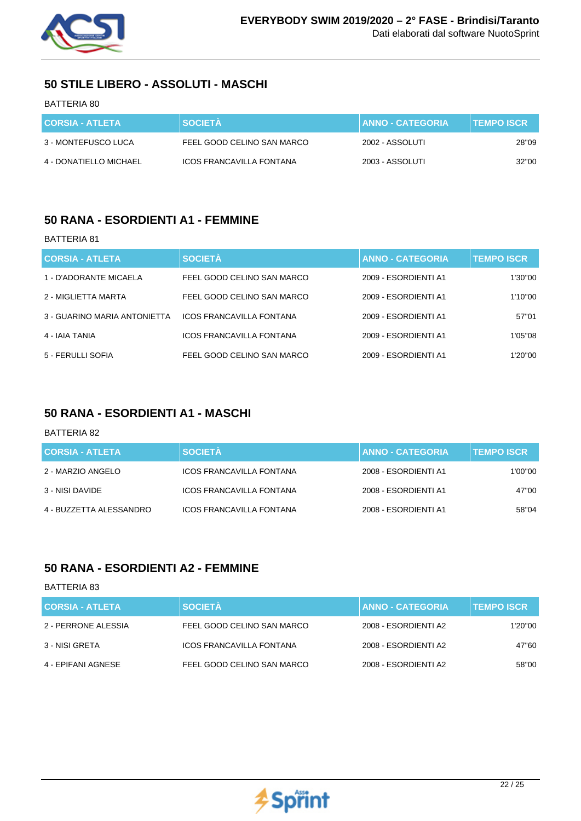

# **50 STILE LIBERO - ASSOLUTI - MASCHI**

### BATTERIA 80

| <b>CORSIA - ATLETA</b> | <b>SOCIETA</b>             | <b>I ANNO - CATEGORIA.</b> | <b>TEMPO ISCR</b> |
|------------------------|----------------------------|----------------------------|-------------------|
| 3 - MONTEFUSCO LUCA    | FEEL GOOD CELINO SAN MARCO | 2002 - ASSOLUTI            | 28"09             |
| 4 - DONATIELLO MICHAEL | ICOS FRANCAVILLA FONTANA   | 2003 - ASSOLUTI            | 32"00             |

### **50 RANA - ESORDIENTI A1 - FEMMINE**

#### BATTERIA 81

| <b>CORSIA - ATLETA</b>       | <b>SOCIETÀ</b>                  | <b>ANNO - CATEGORIA</b> | <b>TEMPO ISCR.</b> |
|------------------------------|---------------------------------|-------------------------|--------------------|
| 1 - D'ADORANTE MICAELA       | FEEL GOOD CELINO SAN MARCO      | 2009 - ESORDIENTI A1    | 1'30"00            |
| 2 - MIGLIETTA MARTA          | FEEL GOOD CELINO SAN MARCO      | 2009 - ESORDIENTI A1    | 1'10"00            |
| 3 - GUARINO MARIA ANTONIETTA | <b>ICOS FRANCAVILLA FONTANA</b> | 2009 - ESORDIENTI A1    | 57"01              |
| 4 - IAIA TANIA               | <b>ICOS FRANCAVILLA FONTANA</b> | 2009 - ESORDIENTI A1    | 1'05"08            |
| 5 - FERULLI SOFIA            | FEEL GOOD CELINO SAN MARCO      | 2009 - ESORDIENTI A1    | 1'20"00            |

### **50 RANA - ESORDIENTI A1 - MASCHI**

#### BATTERIA 82

| <b>CORSIA - ATLETA</b>  | <b>SOCIETÀ</b>                  | <b>ANNO - CATEGORIA</b> | <b>TEMPO ISCR</b> |
|-------------------------|---------------------------------|-------------------------|-------------------|
| 2 - MARZIO ANGELO       | <b>ICOS FRANCAVILLA FONTANA</b> | 2008 - ESORDIENTI A1    | 1'00"00           |
| 3 - NISI DAVIDE         | <b>ICOS FRANCAVILLA FONTANA</b> | 2008 - ESORDIENTI A1    | 47"00             |
| 4 - BUZZETTA ALESSANDRO | ICOS FRANCAVILLA FONTANA        | 2008 - ESORDIENTI A1    | 58"04             |

### **50 RANA - ESORDIENTI A2 - FEMMINE**

| <b>CORSIA - ATLETA</b> | <b>SOCIETÀ</b>                  | <b>ANNO - CATEGORIA</b> | <b>TEMPO ISCR</b> |
|------------------------|---------------------------------|-------------------------|-------------------|
| 2 - PERRONE ALESSIA    | FEEL GOOD CELINO SAN MARCO      | 2008 - ESORDIENTI A2    | 1'20"00           |
| 3 - NISI GRETA         | <b>ICOS FRANCAVILLA FONTANA</b> | 2008 - ESORDIENTI A2    | 47"60             |
| 4 - EPIFANI AGNESE     | FEEL GOOD CELINO SAN MARCO      | 2008 - ESORDIENTI A2    | 58"00             |

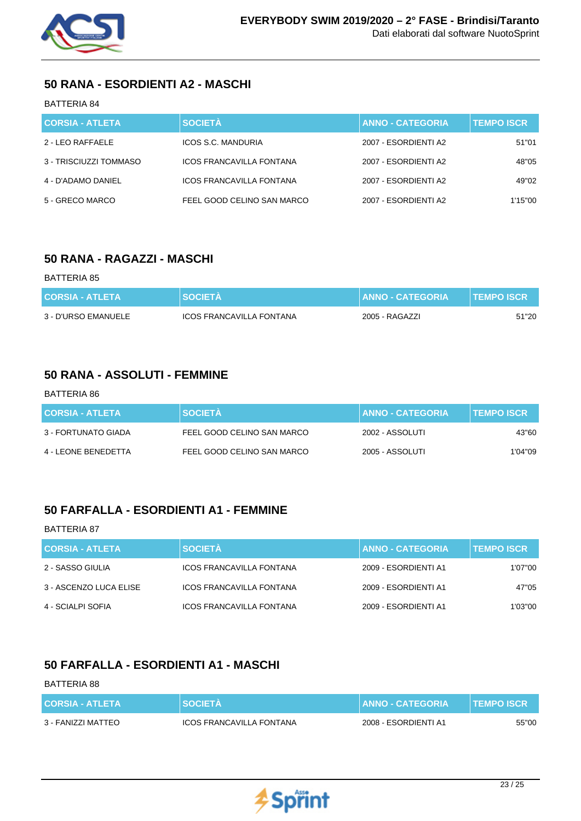

## **50 RANA - ESORDIENTI A2 - MASCHI**

### BATTERIA 84

| <b>CORSIA - ATLETA</b> | <b>SOCIETÀ</b>                  | <b>ANNO - CATEGORIA</b> | <b>TEMPO ISCR</b> |
|------------------------|---------------------------------|-------------------------|-------------------|
| 2 - LEO RAFFAELE       | <b>ICOS S.C. MANDURIA</b>       | 2007 - ESORDIENTI A2    | 51"01             |
| 3 - TRISCIUZZI TOMMASO | <b>ICOS FRANCAVILLA FONTANA</b> | 2007 - ESORDIENTI A2    | 48"05             |
| 4 - D'ADAMO DANIEL     | ICOS FRANCAVILLA FONTANA        | 2007 - ESORDIENTI A2    | 49"02             |
| 5 - GRECO MARCO        | FEEL GOOD CELINO SAN MARCO      | 2007 - ESORDIENTI A2    | 1'15"00           |

## **50 RANA - RAGAZZI - MASCHI**

#### BATTERIA 85

| <b>CORSIA - ATLETA</b> | <b>SOCIETA</b>           | <b>ANNO - CATEGORIA</b> | <b>TEMPO ISCR</b> |
|------------------------|--------------------------|-------------------------|-------------------|
| 3 - D'URSO EMANUELE    | ICOS FRANCAVILLA FONTANA | 2005 - RAGAZZI          | 51"20             |

### **50 RANA - ASSOLUTI - FEMMINE**

#### BATTERIA 86

| <b>CORSIA - ATLETA</b> | <b>SOCIETA</b>             | <b>ANNO - CATEGORIA</b> | <b>TEMPO ISCR</b> |
|------------------------|----------------------------|-------------------------|-------------------|
| 3 - FORTUNATO GIADA    | FEEL GOOD CELINO SAN MARCO | 2002 - ASSOLUTI         | 43"60             |
| 4 - LEONE BENEDETTA    | FEEL GOOD CELINO SAN MARCO | 2005 - ASSOLUTI         | 1'04''09          |

# **50 FARFALLA - ESORDIENTI A1 - FEMMINE**

### BATTERIA 87

| <b>CORSIA - ATLETA</b> | <b>SOCIETÀ</b>                  | <b>ANNO - CATEGORIA</b> | <b>TEMPO ISCR</b> |
|------------------------|---------------------------------|-------------------------|-------------------|
| 2 - SASSO GIULIA       | <b>ICOS FRANCAVILLA FONTANA</b> | 2009 - ESORDIENTI A1    | 1'07"00           |
| 3 - ASCENZO LUCA ELISE | <b>ICOS FRANCAVILLA FONTANA</b> | 2009 - ESORDIENTI A1    | 47"05             |
| 4 - SCIALPI SOFIA      | <b>ICOS FRANCAVILLA FONTANA</b> | 2009 - ESORDIENTI A1    | 1'03''00          |

## **50 FARFALLA - ESORDIENTI A1 - MASCHI**

| <b>CORSIA - ATLETA</b> | <b>SOCIETA</b>           | <b>ANNO - CATEGORIA</b> | I TEMPO ISCR ' |
|------------------------|--------------------------|-------------------------|----------------|
| 3 - FANIZZI MATTEO     | ICOS FRANCAVILLA FONTANA | 2008 - ESORDIENTI A1    | 55"00          |

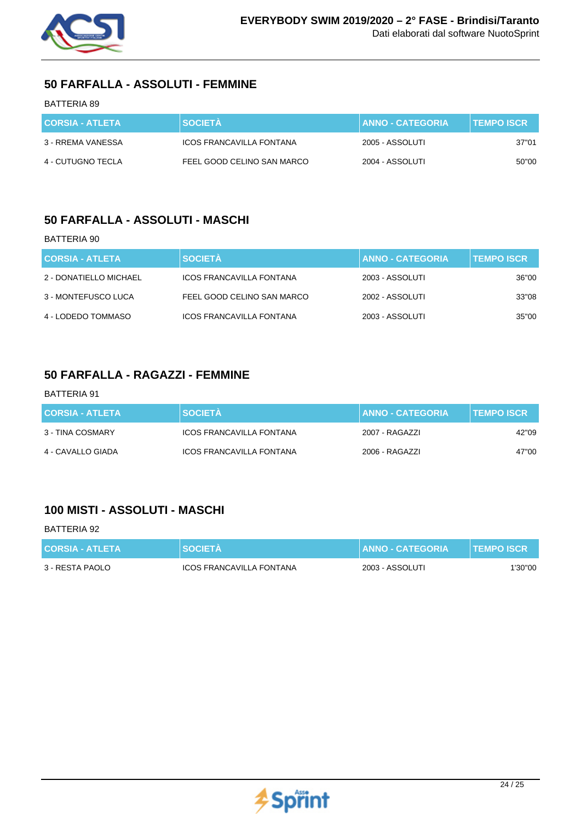

# **50 FARFALLA - ASSOLUTI - FEMMINE**

### BATTERIA 89

| <b>CORSIA - ATLETA</b> | <b>SOCIETA</b>             | <b>I ANNO - CATEGORIA.</b> | <b>TEMPO ISCR</b> |
|------------------------|----------------------------|----------------------------|-------------------|
| 3 - RREMA VANESSA      | ICOS FRANCAVILLA FONTANA   | 2005 - ASSOLUTI            | 37"01             |
| 4 - CUTUGNO TECLA      | FEEL GOOD CELINO SAN MARCO | 2004 - ASSOLUTI            | 50"00             |

### **50 FARFALLA - ASSOLUTI - MASCHI**

#### BATTERIA 90

| <b>CORSIA - ATLETA</b> | <b>SOCIETÀ</b>                  | <b>ANNO - CATEGORIA</b> | <b>TEMPO ISCR</b> |
|------------------------|---------------------------------|-------------------------|-------------------|
| 2 - DONATIELLO MICHAEL | <b>ICOS FRANCAVILLA FONTANA</b> | 2003 - ASSOLUTI         | 36"00             |
| 3 - MONTEFUSCO LUCA    | FEEL GOOD CELINO SAN MARCO      | 2002 - ASSOLUTI         | 33"08             |
| 4 - LODEDO TOMMASO     | ICOS FRANCAVILLA FONTANA        | 2003 - ASSOLUTI         | 35"00             |

### **50 FARFALLA - RAGAZZI - FEMMINE**

### BATTERIA 91

| <b>CORSIA - ATLETA</b> | <b>SOCIETÀ</b>           | <b>∐ANNO - CATEGORIA</b> . | <b>TEMPO ISCR</b> |
|------------------------|--------------------------|----------------------------|-------------------|
| 3 - TINA COSMARY       | ICOS FRANCAVILLA FONTANA | 2007 - RAGAZZI             | 42"09             |
| 4 - CAVALLO GIADA      | ICOS FRANCAVILLA FONTANA | 2006 - RAGAZZI             | 47"00             |

## **100 MISTI - ASSOLUTI - MASCHI**

| <b>CORSIA - ATLETA</b> | <b>SOCIETA</b>                  | <b>ANNO - CATEGORIA</b> | <b>TEMPO ISCR</b> |
|------------------------|---------------------------------|-------------------------|-------------------|
| 3 - RESTA PAOLO        | <b>ICOS FRANCAVILLA FONTANA</b> | 2003 - ASSOLUTI         | 1'30"00           |